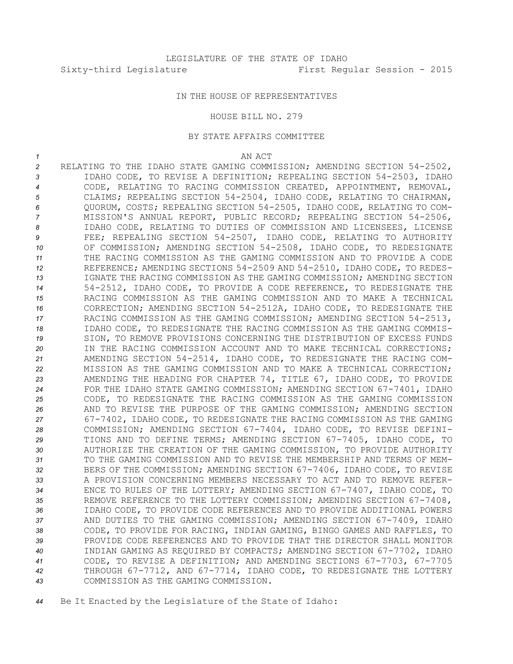# IN THE HOUSE OF REPRESENTATIVES

#### HOUSE BILL NO. 279

## BY STATE AFFAIRS COMMITTEE

### *1* AN ACT

 RELATING TO THE IDAHO STATE GAMING COMMISSION; AMENDING SECTION 54-2502, IDAHO CODE, TO REVISE A DEFINITION; REPEALING SECTION 54-2503, IDAHO CODE, RELATING TO RACING COMMISSION CREATED, APPOINTMENT, REMOVAL, CLAIMS; REPEALING SECTION 54-2504, IDAHO CODE, RELATING TO CHAIRMAN, QUORUM, COSTS; REPEALING SECTION 54-2505, IDAHO CODE, RELATING TO COM- MISSION'S ANNUAL REPORT, PUBLIC RECORD; REPEALING SECTION 54-2506, IDAHO CODE, RELATING TO DUTIES OF COMMISSION AND LICENSEES, LICENSE FEE; REPEALING SECTION 54-2507, IDAHO CODE, RELATING TO AUTHORITY OF COMMISSION; AMENDING SECTION 54-2508, IDAHO CODE, TO REDESIGNATE THE RACING COMMISSION AS THE GAMING COMMISSION AND TO PROVIDE A CODE REFERENCE; AMENDING SECTIONS 54-2509 AND 54-2510, IDAHO CODE, TO REDES- IGNATE THE RACING COMMISSION AS THE GAMING COMMISSION; AMENDING SECTION 54-2512, IDAHO CODE, TO PROVIDE A CODE REFERENCE, TO REDESIGNATE THE RACING COMMISSION AS THE GAMING COMMISSION AND TO MAKE A TECHNICAL CORRECTION; AMENDING SECTION 54-2512A, IDAHO CODE, TO REDESIGNATE THE RACING COMMISSION AS THE GAMING COMMISSION; AMENDING SECTION 54-2513, IDAHO CODE, TO REDESIGNATE THE RACING COMMISSION AS THE GAMING COMMIS- SION, TO REMOVE PROVISIONS CONCERNING THE DISTRIBUTION OF EXCESS FUNDS IN THE RACING COMMISSION ACCOUNT AND TO MAKE TECHNICAL CORRECTIONS; AMENDING SECTION 54-2514, IDAHO CODE, TO REDESIGNATE THE RACING COM- MISSION AS THE GAMING COMMISSION AND TO MAKE A TECHNICAL CORRECTION; AMENDING THE HEADING FOR CHAPTER 74, TITLE 67, IDAHO CODE, TO PROVIDE FOR THE IDAHO STATE GAMING COMMISSION; AMENDING SECTION 67-7401, IDAHO CODE, TO REDESIGNATE THE RACING COMMISSION AS THE GAMING COMMISSION AND TO REVISE THE PURPOSE OF THE GAMING COMMISSION; AMENDING SECTION 67-7402, IDAHO CODE, TO REDESIGNATE THE RACING COMMISSION AS THE GAMING COMMISSION; AMENDING SECTION 67-7404, IDAHO CODE, TO REVISE DEFINI- TIONS AND TO DEFINE TERMS; AMENDING SECTION 67-7405, IDAHO CODE, TO AUTHORIZE THE CREATION OF THE GAMING COMMISSION, TO PROVIDE AUTHORITY TO THE GAMING COMMISSION AND TO REVISE THE MEMBERSHIP AND TERMS OF MEM- BERS OF THE COMMISSION; AMENDING SECTION 67-7406, IDAHO CODE, TO REVISE 33 A PROVISION CONCERNING MEMBERS NECESSARY TO ACT AND TO REMOVE REFER- ENCE TO RULES OF THE LOTTERY; AMENDING SECTION 67-7407, IDAHO CODE, TO REMOVE REFERENCE TO THE LOTTERY COMMISSION; AMENDING SECTION 67-7408, IDAHO CODE, TO PROVIDE CODE REFERENCES AND TO PROVIDE ADDITIONAL POWERS AND DUTIES TO THE GAMING COMMISSION; AMENDING SECTION 67-7409, IDAHO CODE, TO PROVIDE FOR RACING, INDIAN GAMING, BINGO GAMES AND RAFFLES, TO PROVIDE CODE REFERENCES AND TO PROVIDE THAT THE DIRECTOR SHALL MONITOR INDIAN GAMING AS REQUIRED BY COMPACTS; AMENDING SECTION 67-7702, IDAHO CODE, TO REVISE A DEFINITION; AND AMENDING SECTIONS 67-7703, 67-7705 THROUGH 67-7712, AND 67-7714, IDAHO CODE, TO REDESIGNATE THE LOTTERY COMMISSION AS THE GAMING COMMISSION.

*<sup>44</sup>* Be It Enacted by the Legislature of the State of Idaho: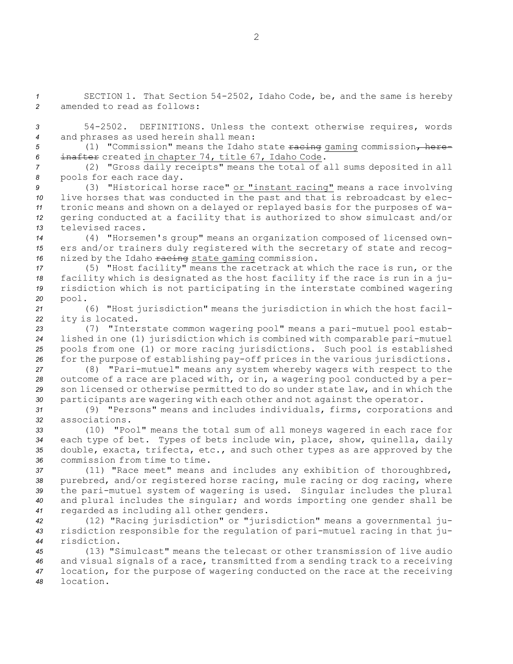SECTION 1. That Section 54-2502, Idaho Code, be, and the same is hereby amended to read as follows: 54-2502. DEFINITIONS. Unless the context otherwise requires, words and phrases as used herein shall mean: 5 (1) "Commission" means the Idaho state racing gaming commission, here- inafter created in chapter 74, title 67, Idaho Code. (2) "Gross daily receipts" means the total of all sums deposited in all pools for each race day. (3) "Historical horse race" or "instant racing" means <sup>a</sup> race involving live horses that was conducted in the past and that is rebroadcast by elec- tronic means and shown on <sup>a</sup> delayed or replayed basis for the purposes of wa- gering conducted at <sup>a</sup> facility that is authorized to show simulcast and/or televised races. (4) "Horsemen's group" means an organization composed of licensed own- ers and/or trainers duly registered with the secretary of state and recog-16 nized by the Idaho racing state gaming commission. (5) "Host facility" means the racetrack at which the race is run, or the facility which is designated as the host facility if the race is run in <sup>a</sup> ju- risdiction which is not participating in the interstate combined wagering *<sup>20</sup>* pool. (6) "Host jurisdiction" means the jurisdiction in which the host facil- ity is located. (7) "Interstate common wagering pool" means <sup>a</sup> pari-mutuel pool estab- lished in one (1) jurisdiction which is combined with comparable pari-mutuel pools from one (1) or more racing jurisdictions. Such pool is established for the purpose of establishing pay-off prices in the various jurisdictions. (8) "Pari-mutuel" means any system whereby wagers with respect to the outcome of <sup>a</sup> race are placed with, or in, <sup>a</sup> wagering pool conducted by <sup>a</sup> per- son licensed or otherwise permitted to do so under state law, and in which the participants are wagering with each other and not against the operator. (9) "Persons" means and includes individuals, firms, corporations and associations. (10) "Pool" means the total sum of all moneys wagered in each race for each type of bet. Types of bets include win, place, show, quinella, daily double, exacta, trifecta, etc., and such other types as are approved by the commission from time to time. (11) "Race meet" means and includes any exhibition of thoroughbred, purebred, and/or registered horse racing, mule racing or dog racing, where the pari-mutuel system of wagering is used. Singular includes the plural and plural includes the singular; and words importing one gender shall be regarded as including all other genders. (12) "Racing jurisdiction" or "jurisdiction" means <sup>a</sup> governmental ju- risdiction responsible for the regulation of pari-mutuel racing in that ju-risdiction.

 (13) "Simulcast" means the telecast or other transmission of live audio and visual signals of <sup>a</sup> race, transmitted from <sup>a</sup> sending track to <sup>a</sup> receiving location, for the purpose of wagering conducted on the race at the receiving *48* location.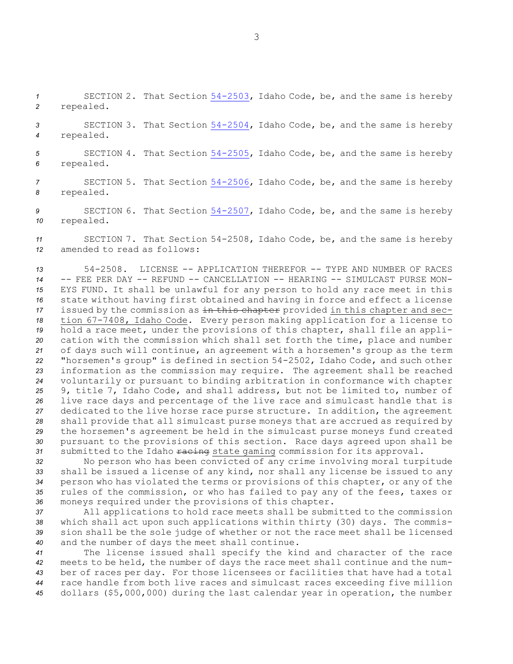*<sup>1</sup>* SECTION 2. That Section [54-2503](http://www.legislature.idaho.gov/idstat/Title54/T54CH25SECT54-2503.htm), Idaho Code, be, and the same is hereby *<sup>2</sup>* repealed.

*<sup>3</sup>* SECTION 3. That Section [54-2504](http://www.legislature.idaho.gov/idstat/Title54/T54CH25SECT54-2504.htm), Idaho Code, be, and the same is hereby *<sup>4</sup>* repealed.

*<sup>5</sup>* SECTION 4. That Section [54-2505](http://www.legislature.idaho.gov/idstat/Title54/T54CH25SECT54-2505.htm), Idaho Code, be, and the same is hereby *<sup>6</sup>* repealed.

*<sup>7</sup>* SECTION 5. That Section [54-2506](http://www.legislature.idaho.gov/idstat/Title54/T54CH25SECT54-2506.htm), Idaho Code, be, and the same is hereby *<sup>8</sup>* repealed.

*<sup>9</sup>* SECTION 6. That Section [54-2507](http://www.legislature.idaho.gov/idstat/Title54/T54CH25SECT54-2507.htm), Idaho Code, be, and the same is hereby *<sup>10</sup>* repealed.

*<sup>11</sup>* SECTION 7. That Section 54-2508, Idaho Code, be, and the same is hereby *12* amended to read as follows:

 54-2508. LICENSE -- APPLICATION THEREFOR -- TYPE AND NUMBER OF RACES -- FEE PER DAY -- REFUND -- CANCELLATION -- HEARING -- SIMULCAST PURSE MON- EYS FUND. It shall be unlawful for any person to hold any race meet in this state without having first obtained and having in force and effect <sup>a</sup> license issued by the commission as in this chapter provided in this chapter and sec- tion 67-7408, Idaho Code. Every person making application for <sup>a</sup> license to hold <sup>a</sup> race meet, under the provisions of this chapter, shall file an appli- cation with the commission which shall set forth the time, place and number of days such will continue, an agreement with <sup>a</sup> horsemen's group as the term "horsemen's group" is defined in section 54-2502, Idaho Code, and such other information as the commission may require. The agreement shall be reached voluntarily or pursuant to binding arbitration in conformance with chapter 9, title 7, Idaho Code, and shall address, but not be limited to, number of live race days and percentage of the live race and simulcast handle that is dedicated to the live horse race purse structure. In addition, the agreement shall provide that all simulcast purse moneys that are accrued as required by the horsemen's agreement be held in the simulcast purse moneys fund created pursuant to the provisions of this section. Race days agreed upon shall be 31 submitted to the Idaho racing state gaming commission for its approval.

 No person who has been convicted of any crime involving moral turpitude shall be issued <sup>a</sup> license of any kind, nor shall any license be issued to any person who has violated the terms or provisions of this chapter, or any of the rules of the commission, or who has failed to pay any of the fees, taxes or moneys required under the provisions of this chapter.

 All applications to hold race meets shall be submitted to the commission which shall act upon such applications within thirty (30) days. The commis- sion shall be the sole judge of whether or not the race meet shall be licensed and the number of days the meet shall continue.

 The license issued shall specify the kind and character of the race meets to be held, the number of days the race meet shall continue and the num- ber of races per day. For those licensees or facilities that have had <sup>a</sup> total race handle from both live races and simulcast races exceeding five million dollars (\$5,000,000) during the last calendar year in operation, the number

3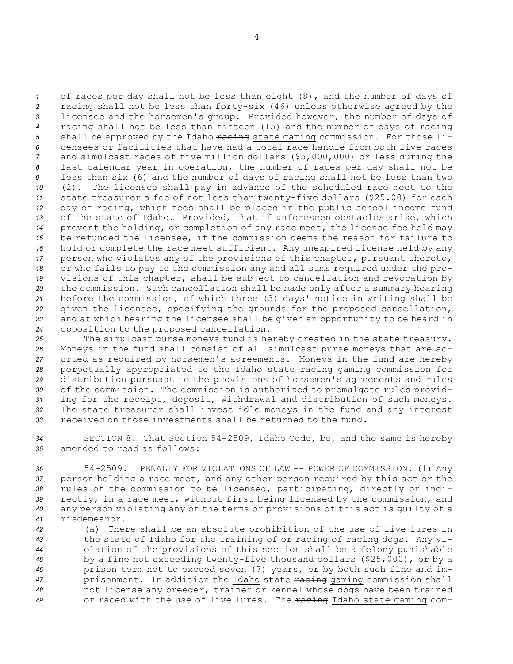of races per day shall not be less than eight (8), and the number of days of racing shall not be less than forty-six (46) unless otherwise agreed by the licensee and the horsemen's group. Provided however, the number of days of racing shall not be less than fifteen (15) and the number of days of racing 5 shall be approved by the Idaho racing state gaming commission. For those li- censees or facilities that have had <sup>a</sup> total race handle from both live races and simulcast races of five million dollars (\$5,000,000) or less during the last calendar year in operation, the number of races per day shall not be less than six (6) and the number of days of racing shall not be less than two (2). The licensee shall pay in advance of the scheduled race meet to the state treasurer <sup>a</sup> fee of not less than twenty-five dollars (\$25.00) for each day of racing, which fees shall be placed in the public school income fund of the state of Idaho. Provided, that if unforeseen obstacles arise, which prevent the holding, or completion of any race meet, the license fee held may be refunded the licensee, if the commission deems the reason for failure to hold or complete the race meet sufficient. Any unexpired license held by any person who violates any of the provisions of this chapter, pursuant thereto, or who fails to pay to the commission any and all sums required under the pro- visions of this chapter, shall be subject to cancellation and revocation by the commission. Such cancellation shall be made only after <sup>a</sup> summary hearing before the commission, of which three (3) days' notice in writing shall be given the licensee, specifying the grounds for the proposed cancellation, and at which hearing the licensee shall be given an opportunity to be heard in opposition to the proposed cancellation.

 The simulcast purse moneys fund is hereby created in the state treasury. Moneys in the fund shall consist of all simulcast purse moneys that are ac- crued as required by horsemen's agreements. Moneys in the fund are hereby 28 perpetually appropriated to the Idaho state racing gaming commission for distribution pursuant to the provisions of horsemen's agreements and rules of the commission. The commission is authorized to promulgate rules provid- ing for the receipt, deposit, withdrawal and distribution of such moneys. The state treasurer shall invest idle moneys in the fund and any interest received on those investments shall be returned to the fund.

*<sup>34</sup>* SECTION 8. That Section 54-2509, Idaho Code, be, and the same is hereby *35* amended to read as follows:

 54-2509. PENALTY FOR VIOLATIONS OF LAW -- POWER OF COMMISSION. (1) Any person holding <sup>a</sup> race meet, and any other person required by this act or the rules of the commission to be licensed, participating, directly or indi- rectly, in <sup>a</sup> race meet, without first being licensed by the commission, and any person violating any of the terms or provisions of this act is guilty of <sup>a</sup> misdemeanor.

 (a) There shall be an absolute prohibition of the use of live lures in the state of Idaho for the training of or racing of racing dogs. Any vi- olation of the provisions of this section shall be <sup>a</sup> felony punishable by <sup>a</sup> fine not exceeding twenty-five thousand dollars (\$25,000), or by <sup>a</sup> prison term not to exceed seven (7) years, or by both such fine and im- prisonment. In addition the Idaho state racing gaming commission shall not license any breeder, trainer or kennel whose dogs have been trained or raced with the use of live lures. The racing Idaho state gaming com-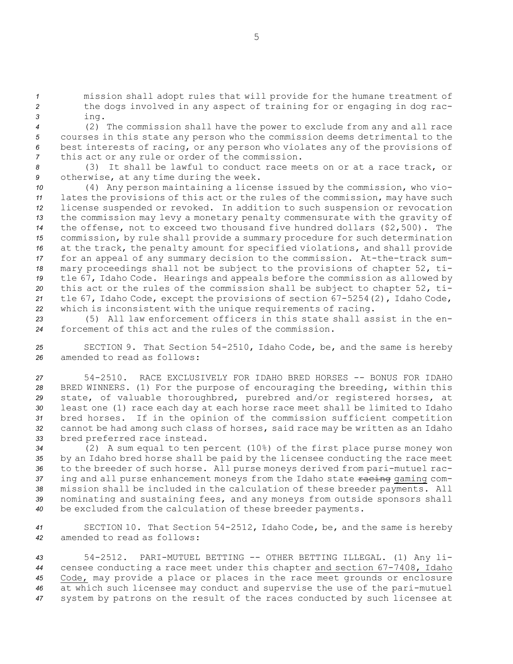*<sup>1</sup>* mission shall adopt rules that will provide for the humane treatment of *<sup>2</sup>* the dogs involved in any aspect of training for or engaging in dog rac-*<sup>3</sup>* ing.

 (2) The commission shall have the power to exclude from any and all race courses in this state any person who the commission deems detrimental to the best interests of racing, or any person who violates any of the provisions of this act or any rule or order of the commission.

*<sup>8</sup>* (3) It shall be lawful to conduct race meets on or at <sup>a</sup> race track, or *<sup>9</sup>* otherwise, at any time during the week.

 (4) Any person maintaining <sup>a</sup> license issued by the commission, who vio- lates the provisions of this act or the rules of the commission, may have such license suspended or revoked. In addition to such suspension or revocation the commission may levy <sup>a</sup> monetary penalty commensurate with the gravity of the offense, not to exceed two thousand five hundred dollars (\$2,500). The commission, by rule shall provide <sup>a</sup> summary procedure for such determination at the track, the penalty amount for specified violations, and shall provide for an appeal of any summary decision to the commission. At-the-track sum- mary proceedings shall not be subject to the provisions of chapter 52, ti- tle 67, Idaho Code. Hearings and appeals before the commission as allowed by this act or the rules of the commission shall be subject to chapter 52, ti- tle 67, Idaho Code, except the provisions of section 67-5254(2), Idaho Code, which is inconsistent with the unique requirements of racing.

*23* (5) All law enforcement officers in this state shall assist in the en-*24* forcement of this act and the rules of the commission.

*<sup>25</sup>* SECTION 9. That Section 54-2510, Idaho Code, be, and the same is hereby *26* amended to read as follows:

 54-2510. RACE EXCLUSIVELY FOR IDAHO BRED HORSES -- BONUS FOR IDAHO BRED WINNERS. (1) For the purpose of encouraging the breeding, within this state, of valuable thoroughbred, purebred and/or registered horses, at least one (1) race each day at each horse race meet shall be limited to Idaho bred horses. If in the opinion of the commission sufficient competition cannot be had among such class of horses, said race may be written as an Idaho bred preferred race instead.

 (2) <sup>A</sup> sum equal to ten percent (10%) of the first place purse money won by an Idaho bred horse shall be paid by the licensee conducting the race meet to the breeder of such horse. All purse moneys derived from pari-mutuel rac-37 ing and all purse enhancement moneys from the Idaho state racing gaming com- mission shall be included in the calculation of these breeder payments. All nominating and sustaining fees, and any moneys from outside sponsors shall be excluded from the calculation of these breeder payments.

*<sup>41</sup>* SECTION 10. That Section 54-2512, Idaho Code, be, and the same is hereby *42* amended to read as follows:

 54-2512. PARI-MUTUEL BETTING -- OTHER BETTING ILLEGAL. (1) Any li- censee conducting <sup>a</sup> race meet under this chapter and section 67-7408, Idaho Code, may provide <sup>a</sup> place or places in the race meet grounds or enclosure at which such licensee may conduct and supervise the use of the pari-mutuel system by patrons on the result of the races conducted by such licensee at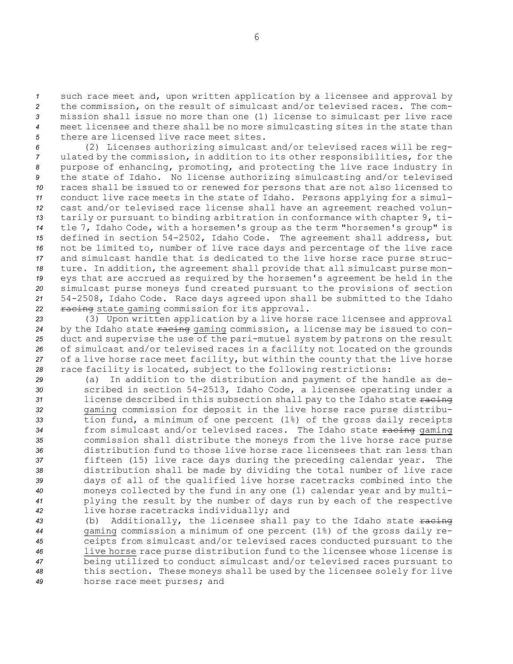such race meet and, upon written application by <sup>a</sup> licensee and approval by the commission, on the result of simulcast and/or televised races. The com- mission shall issue no more than one (1) license to simulcast per live race meet licensee and there shall be no more simulcasting sites in the state than there are licensed live race meet sites.

 (2) Licenses authorizing simulcast and/or televised races will be reg- ulated by the commission, in addition to its other responsibilities, for the purpose of enhancing, promoting, and protecting the live race industry in the state of Idaho. No license authorizing simulcasting and/or televised races shall be issued to or renewed for persons that are not also licensed to conduct live race meets in the state of Idaho. Persons applying for <sup>a</sup> simul- cast and/or televised race license shall have an agreement reached volun- tarily or pursuant to binding arbitration in conformance with chapter 9, ti- tle 7, Idaho Code, with <sup>a</sup> horsemen's group as the term "horsemen's group" is defined in section 54-2502, Idaho Code. The agreement shall address, but not be limited to, number of live race days and percentage of the live race and simulcast handle that is dedicated to the live horse race purse struc- ture. In addition, the agreement shall provide that all simulcast purse mon- eys that are accrued as required by the horsemen's agreement be held in the simulcast purse moneys fund created pursuant to the provisions of section 54-2508, Idaho Code. Race days agreed upon shall be submitted to the Idaho 22 racing state gaming commission for its approval.

 (3) Upon written application by <sup>a</sup> live horse race licensee and approval by the Idaho state racing gaming commission, <sup>a</sup> license may be issued to con- duct and supervise the use of the pari-mutuel system by patrons on the result of simulcast and/or televised races in <sup>a</sup> facility not located on the grounds of <sup>a</sup> live horse race meet facility, but within the county that the live horse race facility is located, subject to the following restrictions:

 (a) In addition to the distribution and payment of the handle as de- scribed in section 54-2513, Idaho Code, <sup>a</sup> licensee operating under <sup>a</sup> license described in this subsection shall pay to the Idaho state  $\frac{1}{2}$  gaming commission for deposit in the live horse race purse distribu- tion fund, <sup>a</sup> minimum of one percent (1%) of the gross daily receipts 34 from simulcast and/or televised races. The Idaho state racing gaming commission shall distribute the moneys from the live horse race purse distribution fund to those live horse race licensees that ran less than fifteen (15) live race days during the preceding calendar year. The distribution shall be made by dividing the total number of live race days of all of the qualified live horse racetracks combined into the moneys collected by the fund in any one (1) calendar year and by multi- plying the result by the number of days run by each of the respective live horse racetracks individually; and

43 (b) Additionally, the licensee shall pay to the Idaho state  $\frac{1}{2}$  gaming commission <sup>a</sup> minimum of one percent (1%) of the gross daily re- ceipts from simulcast and/or televised races conducted pursuant to the live horse race purse distribution fund to the licensee whose license is being utilized to conduct simulcast and/or televised races pursuant to this section. These moneys shall be used by the licensee solely for live horse race meet purses; and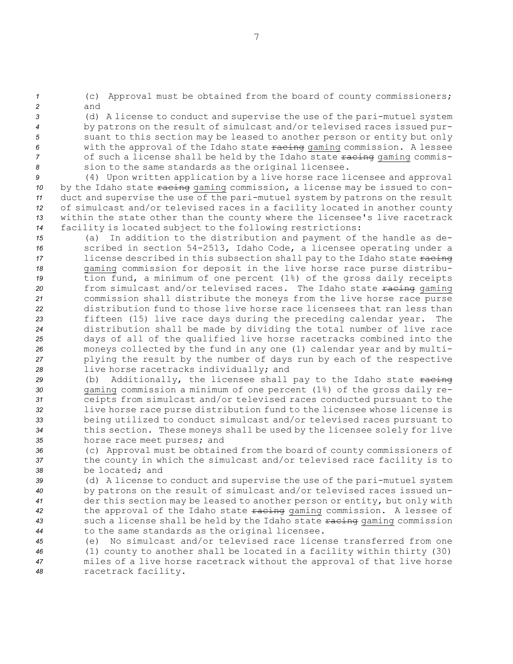*<sup>1</sup>* (c) Approval must be obtained from the board of county commissioners; *2* and

 (d) <sup>A</sup> license to conduct and supervise the use of the pari-mutuel system by patrons on the result of simulcast and/or televised races issued pur- suant to this section may be leased to another person or entity but only with the approval of the Idaho state racing gaming commission. <sup>A</sup> lessee 7 of such a license shall be held by the Idaho state racing gaming commis-sion to the same standards as the original licensee.

 (4) Upon written application by <sup>a</sup> live horse race licensee and approval 10 by the Idaho state  $\frac{1}{2}$  factor  $\frac{1}{2}$  by the Issued to con- duct and supervise the use of the pari-mutuel system by patrons on the result of simulcast and/or televised races in <sup>a</sup> facility located in another county within the state other than the county where the licensee's live racetrack facility is located subject to the following restrictions:

 (a) In addition to the distribution and payment of the handle as de- scribed in section 54-2513, Idaho Code, <sup>a</sup> licensee operating under <sup>a</sup> 17 license described in this subsection shall pay to the Idaho state  $\frac{1}{2}$  gaming commission for deposit in the live horse race purse distribu- tion fund, <sup>a</sup> minimum of one percent (1%) of the gross daily receipts 20 from simulcast and/or televised races. The Idaho state racing gaming commission shall distribute the moneys from the live horse race purse distribution fund to those live horse race licensees that ran less than fifteen (15) live race days during the preceding calendar year. The distribution shall be made by dividing the total number of live race days of all of the qualified live horse racetracks combined into the moneys collected by the fund in any one (1) calendar year and by multi- plying the result by the number of days run by each of the respective live horse racetracks individually; and

29 (b) Additionally, the licensee shall pay to the Idaho state  $\frac{1}{2}$  gaming commission <sup>a</sup> minimum of one percent (1%) of the gross daily re- ceipts from simulcast and/or televised races conducted pursuant to the live horse race purse distribution fund to the licensee whose license is being utilized to conduct simulcast and/or televised races pursuant to this section. These moneys shall be used by the licensee solely for live horse race meet purses; and

*<sup>36</sup>* (c) Approval must be obtained from the board of county commissioners of *<sup>37</sup>* the county in which the simulcast and/or televised race facility is to *38* be located; and

 (d) <sup>A</sup> license to conduct and supervise the use of the pari-mutuel system by patrons on the result of simulcast and/or televised races issued un- der this section may be leased to another person or entity, but only with the approval of the Idaho state racing gaming commission. <sup>A</sup> lessee of such <sup>a</sup> license shall be held by the Idaho state racing gaming commission to the same standards as the original licensee.

 (e) No simulcast and/or televised race license transferred from one (1) county to another shall be located in <sup>a</sup> facility within thirty (30) miles of <sup>a</sup> live horse racetrack without the approval of that live horse racetrack facility.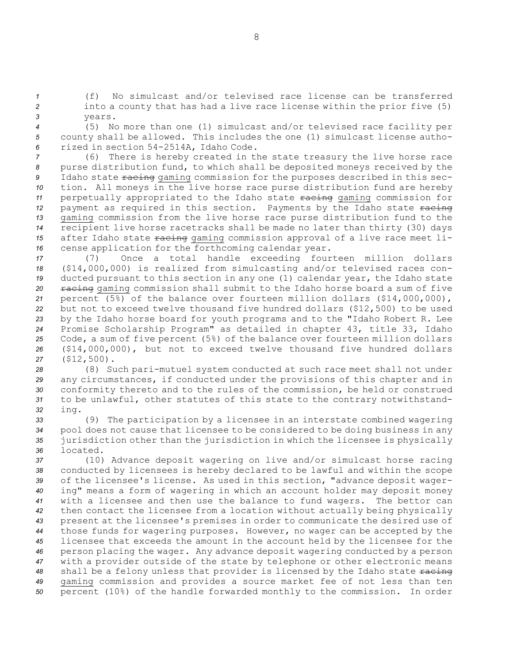*<sup>1</sup>* (f) No simulcast and/or televised race license can be transferred *<sup>2</sup>* into <sup>a</sup> county that has had <sup>a</sup> live race license within the prior five (5) *3* years.

*<sup>4</sup>* (5) No more than one (1) simulcast and/or televised race facility per *<sup>5</sup>* county shall be allowed. This includes the one (1) simulcast license autho-*<sup>6</sup>* rized in section 54-2514A, Idaho Code.

*<sup>7</sup>* (6) There is hereby created in the state treasury the live horse race *<sup>8</sup>* purse distribution fund, to which shall be deposited moneys received by the 9 Idaho state racing gaming commission for the purposes described in this sec-*<sup>10</sup>* tion. All moneys in the live horse race purse distribution fund are hereby 11 perpetually appropriated to the Idaho state racing gaming commission for 12 payment as required in this section. Payments by the Idaho state racing *<sup>13</sup>* gaming commission from the live horse race purse distribution fund to the *<sup>14</sup>* recipient live horse racetracks shall be made no later than thirty (30) days 15 after Idaho state  $\frac{1}{2}$  racing gaming commission approval of a live race meet li-*<sup>16</sup>* cense application for the forthcoming calendar year.

 (7) Once <sup>a</sup> total handle exceeding fourteen million dollars (\$14,000,000) is realized from simulcasting and/or televised races con- ducted pursuant to this section in any one (1) calendar year, the Idaho state 20 racing gaming commission shall submit to the Idaho horse board a sum of five percent (5%) of the balance over fourteen million dollars (\$14,000,000), but not to exceed twelve thousand five hundred dollars (\$12,500) to be used by the Idaho horse board for youth programs and to the "Idaho Robert R. Lee Promise Scholarship Program" as detailed in chapter 43, title 33, Idaho Code, <sup>a</sup> sum of five percent (5%) of the balance over fourteen million dollars (\$14,000,000), but not to exceed twelve thousand five hundred dollars (\$12,500).

 (8) Such pari-mutuel system conducted at such race meet shall not under any circumstances, if conducted under the provisions of this chapter and in conformity thereto and to the rules of the commission, be held or construed to be unlawful, other statutes of this state to the contrary notwithstand-*<sup>32</sup>* ing.

 (9) The participation by <sup>a</sup> licensee in an interstate combined wagering pool does not cause that licensee to be considered to be doing business in any jurisdiction other than the jurisdiction in which the licensee is physically *36* located.

 (10) Advance deposit wagering on live and/or simulcast horse racing conducted by licensees is hereby declared to be lawful and within the scope of the licensee's license. As used in this section, "advance deposit wager- ing" means <sup>a</sup> form of wagering in which an account holder may deposit money with <sup>a</sup> licensee and then use the balance to fund wagers. The bettor can then contact the licensee from <sup>a</sup> location without actually being physically present at the licensee's premises in order to communicate the desired use of those funds for wagering purposes. However, no wager can be accepted by the licensee that exceeds the amount in the account held by the licensee for the person placing the wager. Any advance deposit wagering conducted by <sup>a</sup> person with <sup>a</sup> provider outside of the state by telephone or other electronic means 48 shall be a felony unless that provider is licensed by the Idaho state racing gaming commission and provides <sup>a</sup> source market fee of not less than ten percent (10%) of the handle forwarded monthly to the commission. In order

8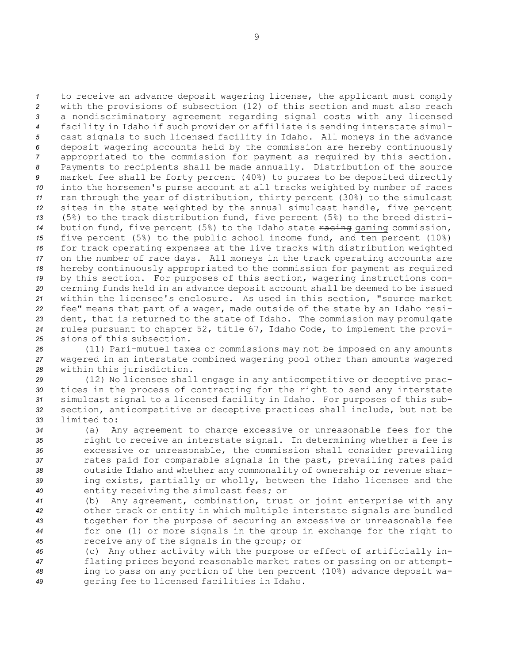to receive an advance deposit wagering license, the applicant must comply with the provisions of subsection (12) of this section and must also reach <sup>a</sup> nondiscriminatory agreement regarding signal costs with any licensed facility in Idaho if such provider or affiliate is sending interstate simul- cast signals to such licensed facility in Idaho. All moneys in the advance deposit wagering accounts held by the commission are hereby continuously appropriated to the commission for payment as required by this section. Payments to recipients shall be made annually. Distribution of the source market fee shall be forty percent (40%) to purses to be deposited directly into the horsemen's purse account at all tracks weighted by number of races ran through the year of distribution, thirty percent (30%) to the simulcast sites in the state weighted by the annual simulcast handle, five percent (5%) to the track distribution fund, five percent (5%) to the breed distri-14 bution fund, five percent (5%) to the Idaho state racing gaming commission, five percent (5%) to the public school income fund, and ten percent (10%) for track operating expenses at the live tracks with distribution weighted on the number of race days. All moneys in the track operating accounts are hereby continuously appropriated to the commission for payment as required by this section. For purposes of this section, wagering instructions con- cerning funds held in an advance deposit account shall be deemed to be issued within the licensee's enclosure. As used in this section, "source market fee" means that part of <sup>a</sup> wager, made outside of the state by an Idaho resi- dent, that is returned to the state of Idaho. The commission may promulgate rules pursuant to chapter 52, title 67, Idaho Code, to implement the provi-sions of this subsection.

*<sup>26</sup>* (11) Pari-mutuel taxes or commissions may not be imposed on any amounts *<sup>27</sup>* wagered in an interstate combined wagering pool other than amounts wagered *<sup>28</sup>* within this jurisdiction.

 (12) No licensee shall engage in any anticompetitive or deceptive prac- tices in the process of contracting for the right to send any interstate simulcast signal to <sup>a</sup> licensed facility in Idaho. For purposes of this sub- section, anticompetitive or deceptive practices shall include, but not be limited to:

 (a) Any agreement to charge excessive or unreasonable fees for the right to receive an interstate signal. In determining whether <sup>a</sup> fee is excessive or unreasonable, the commission shall consider prevailing rates paid for comparable signals in the past, prevailing rates paid outside Idaho and whether any commonality of ownership or revenue shar- ing exists, partially or wholly, between the Idaho licensee and the entity receiving the simulcast fees; or

 (b) Any agreement, combination, trust or joint enterprise with any other track or entity in which multiple interstate signals are bundled together for the purpose of securing an excessive or unreasonable fee for one (1) or more signals in the group in exchange for the right to receive any of the signals in the group; or

 (c) Any other activity with the purpose or effect of artificially in- flating prices beyond reasonable market rates or passing on or attempt- ing to pass on any portion of the ten percent (10%) advance deposit wa-gering fee to licensed facilities in Idaho.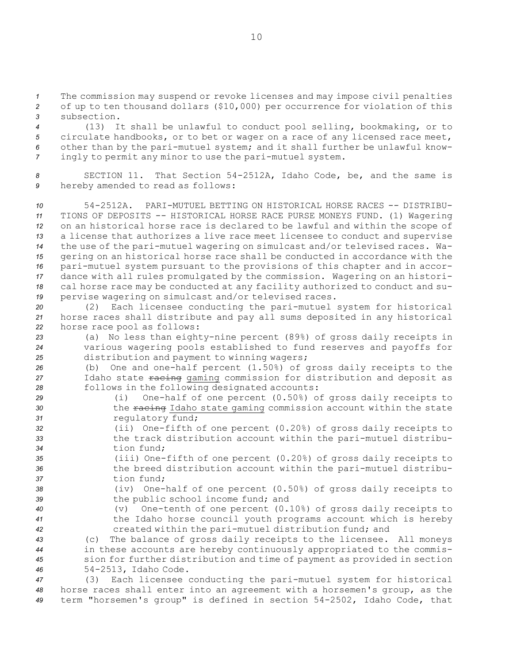*<sup>1</sup>* The commission may suspend or revoke licenses and may impose civil penalties *<sup>2</sup>* of up to ten thousand dollars (\$10,000) per occurrence for violation of this *3* subsection.

 (13) It shall be unlawful to conduct pool selling, bookmaking, or to circulate handbooks, or to bet or wager on <sup>a</sup> race of any licensed race meet, other than by the pari-mutuel system; and it shall further be unlawful know-ingly to permit any minor to use the pari-mutuel system.

*<sup>8</sup>* SECTION 11. That Section 54-2512A, Idaho Code, be, and the same is *<sup>9</sup>* hereby amended to read as follows:

 54-2512A. PARI-MUTUEL BETTING ON HISTORICAL HORSE RACES -- DISTRIBU- TIONS OF DEPOSITS -- HISTORICAL HORSE RACE PURSE MONEYS FUND. (1) Wagering on an historical horse race is declared to be lawful and within the scope of <sup>a</sup> license that authorizes <sup>a</sup> live race meet licensee to conduct and supervise the use of the pari-mutuel wagering on simulcast and/or televised races. Wa- gering on an historical horse race shall be conducted in accordance with the pari-mutuel system pursuant to the provisions of this chapter and in accor- dance with all rules promulgated by the commission. Wagering on an histori- cal horse race may be conducted at any facility authorized to conduct and su-pervise wagering on simulcast and/or televised races.

*<sup>20</sup>* (2) Each licensee conducting the pari-mutuel system for historical *<sup>21</sup>* horse races shall distribute and pay all sums deposited in any historical *<sup>22</sup>* horse race pool as follows:

*<sup>23</sup>* (a) No less than eighty-nine percent (89%) of gross daily receipts in *<sup>24</sup>* various wagering pools established to fund reserves and payoffs for *<sup>25</sup>* distribution and payment to winning wagers;

*<sup>26</sup>* (b) One and one-half percent (1.50%) of gross daily receipts to the 27 Idaho state racing gaming commission for distribution and deposit as *<sup>28</sup>* follows in the following designated accounts:

- *<sup>29</sup>* (i) One-half of one percent (0.50%) of gross daily receipts to 30 **120 the racing Idaho state gaming commission account within the state** 31 *regulatory fund;*
- *<sup>32</sup>* (ii) One-fifth of one percent (0.20%) of gross daily receipts to *<sup>33</sup>* the track distribution account within the pari-mutuel distribu-*34* tion fund;
- *<sup>35</sup>* (iii) One-fifth of one percent (0.20%) of gross daily receipts to *<sup>36</sup>* the breed distribution account within the pari-mutuel distribu-*37* tion fund;
- *<sup>38</sup>* (iv) One-half of one percent (0.50%) of gross daily receipts to *<sup>39</sup>* the public school income fund; and
- 

*<sup>40</sup>* (v) One-tenth of one percent (0.10%) of gross daily receipts to *<sup>41</sup>* the Idaho horse council youth programs account which is hereby *<sup>42</sup>* created within the pari-mutuel distribution fund; and

 (c) The balance of gross daily receipts to the licensee. All moneys in these accounts are hereby continuously appropriated to the commis- sion for further distribution and time of payment as provided in section 54-2513, Idaho Code.

*<sup>47</sup>* (3) Each licensee conducting the pari-mutuel system for historical *<sup>48</sup>* horse races shall enter into an agreement with <sup>a</sup> horsemen's group, as the *<sup>49</sup>* term "horsemen's group" is defined in section 54-2502, Idaho Code, that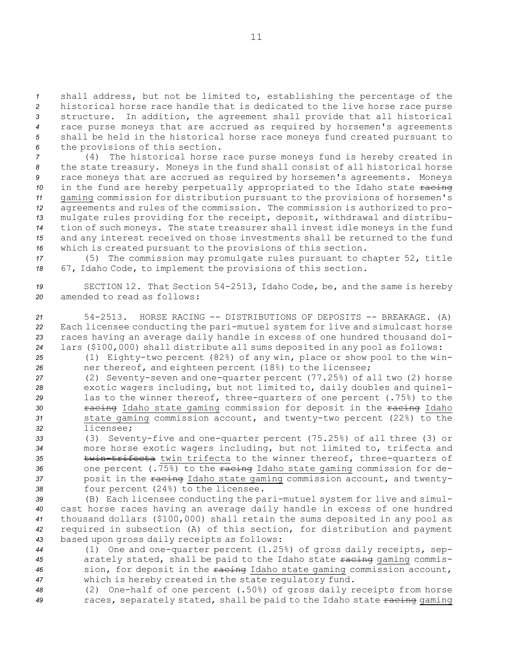shall address, but not be limited to, establishing the percentage of the historical horse race handle that is dedicated to the live horse race purse structure. In addition, the agreement shall provide that all historical race purse moneys that are accrued as required by horsemen's agreements shall be held in the historical horse race moneys fund created pursuant to the provisions of this section.

 (4) The historical horse race purse moneys fund is hereby created in the state treasury. Moneys in the fund shall consist of all historical horse race moneys that are accrued as required by horsemen's agreements. Moneys 10 in the fund are hereby perpetually appropriated to the Idaho state racing gaming commission for distribution pursuant to the provisions of horsemen's agreements and rules of the commission. The commission is authorized to pro- mulgate rules providing for the receipt, deposit, withdrawal and distribu- tion of such moneys. The state treasurer shall invest idle moneys in the fund and any interest received on those investments shall be returned to the fund which is created pursuant to the provisions of this section.

*<sup>17</sup>* (5) The commission may promulgate rules pursuant to chapter 52, title *<sup>18</sup>* 67, Idaho Code, to implement the provisions of this section.

*<sup>19</sup>* SECTION 12. That Section 54-2513, Idaho Code, be, and the same is hereby *20* amended to read as follows:

 54-2513. HORSE RACING -- DISTRIBUTIONS OF DEPOSITS -- BREAKAGE. (A) Each licensee conducting the pari-mutuel system for live and simulcast horse races having an average daily handle in excess of one hundred thousand dol-lars (\$100,000) shall distribute all sums deposited in any pool as follows:

*<sup>25</sup>* (1) Eighty-two percent (82%) of any win, place or show pool to the win-*<sup>26</sup>* ner thereof, and eighteen percent (18%) to the licensee;

 (2) Seventy-seven and one-quarter percent (77.25%) of all two (2) horse exotic wagers including, but not limited to, daily doubles and quinel- las to the winner thereof, three-quarters of one percent (.75%) to the **racing** Idaho state gaming commission for deposit in the racing Idaho state gaming commission account, and twenty-two percent (22%) to the licensee;

 (3) Seventy-five and one-quarter percent (75.25%) of all three (3) or more horse exotic wagers including, but not limited to, trifecta and **twin-trifecta** twin trifecta to the winner thereof, three-quarters of one percent (.75%) to the racing Idaho state gaming commission for de- posit in the racing Idaho state gaming commission account, and twenty-four percent (24%) to the licensee.

 (B) Each licensee conducting the pari-mutuel system for live and simul- cast horse races having an average daily handle in excess of one hundred thousand dollars (\$100,000) shall retain the sums deposited in any pool as required in subsection (A) of this section, for distribution and payment based upon gross daily receipts as follows:

 (1) One and one-quarter percent (1.25%) of gross daily receipts, sep-45 arately stated, shall be paid to the Idaho state  $\frac{1}{2}$  and  $\frac{1}{2}$  commis- sion, for deposit in the racing Idaho state gaming commission account, which is hereby created in the state regulatory fund.

*<sup>48</sup>* (2) One-half of one percent (.50%) of gross daily receipts from horse 49 races, separately stated, shall be paid to the Idaho state racing gaming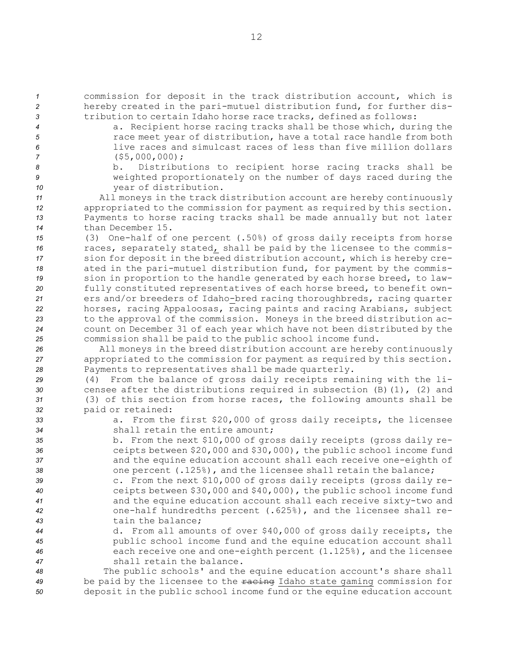*<sup>1</sup>* commission for deposit in the track distribution account, which is *<sup>2</sup>* hereby created in the pari-mutuel distribution fund, for further dis-*<sup>3</sup>* tribution to certain Idaho horse race tracks, defined as follows:

- 
- 

 a. Recipient horse racing tracks shall be those which, during the race meet year of distribution, have <sup>a</sup> total race handle from both live races and simulcast races of less than five million dollars (\$5,000,000);

*<sup>8</sup>* b. Distributions to recipient horse racing tracks shall be *<sup>9</sup>* weighted proportionately on the number of days raced during the *<sup>10</sup>* year of distribution.

 All moneys in the track distribution account are hereby continuously appropriated to the commission for payment as required by this section. Payments to horse racing tracks shall be made annually but not later than December 15.

 (3) One-half of one percent (.50%) of gross daily receipts from horse races, separately stated, shall be paid by the licensee to the commis- sion for deposit in the breed distribution account, which is hereby cre- ated in the pari-mutuel distribution fund, for payment by the commis- sion in proportion to the handle generated by each horse breed, to law- fully constituted representatives of each horse breed, to benefit own- ers and/or breeders of Idaho-bred racing thoroughbreds, racing quarter horses, racing Appaloosas, racing paints and racing Arabians, subject to the approval of the commission. Moneys in the breed distribution ac- count on December 31 of each year which have not been distributed by the commission shall be paid to the public school income fund.

*<sup>26</sup>* All moneys in the breed distribution account are hereby continuously *<sup>27</sup>* appropriated to the commission for payment as required by this section. *<sup>28</sup>* Payments to representatives shall be made quarterly.

 (4) From the balance of gross daily receipts remaining with the li- censee after the distributions required in subsection (B)(1), (2) and (3) of this section from horse races, the following amounts shall be paid or retained:

*<sup>33</sup>* a. From the first \$20,000 of gross daily receipts, the licensee *34* shall retain the entire amount;

 b. From the next \$10,000 of gross daily receipts (gross daily re- ceipts between \$20,000 and \$30,000), the public school income fund and the equine education account shall each receive one-eighth of 38 one percent (.125%), and the licensee shall retain the balance;

 c. From the next \$10,000 of gross daily receipts (gross daily re- ceipts between \$30,000 and \$40,000), the public school income fund and the equine education account shall each receive sixty-two and one-half hundredths percent (.625%), and the licensee shall re-tain the balance;

 d. From all amounts of over \$40,000 of gross daily receipts, the public school income fund and the equine education account shall each receive one and one-eighth percent (1.125%), and the licensee shall retain the balance.

*<sup>48</sup>* The public schools' and the equine education account's share shall *<sup>49</sup>* be paid by the licensee to the racing Idaho state gaming commission for *<sup>50</sup>* deposit in the public school income fund or the equine education account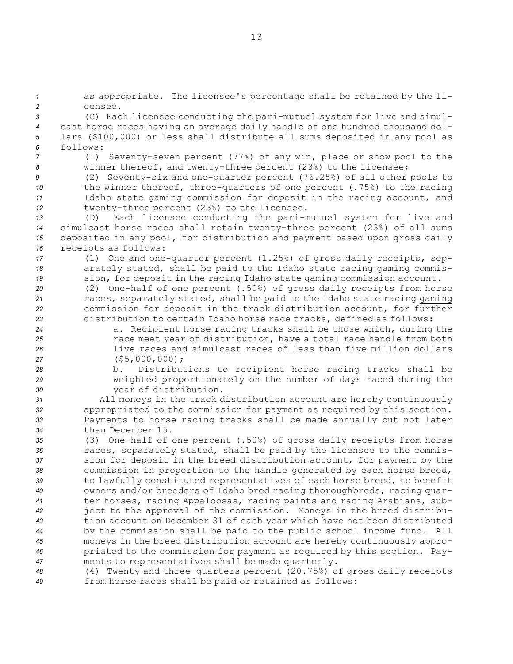as appropriate. The licensee's percentage shall be retained by the li-*2* censee. (C) Each licensee conducting the pari-mutuel system for live and simul- cast horse races having an average daily handle of one hundred thousand dol- lars (\$100,000) or less shall distribute all sums deposited in any pool as *6* follows: (1) Seventy-seven percent (77%) of any win, place or show pool to the winner thereof, and twenty-three percent (23%) to the licensee; (2) Seventy-six and one-quarter percent (76.25%) of all other pools to 10 the winner thereof, three-quarters of one percent (.75%) to the racing Idaho state gaming commission for deposit in the racing account, and twenty-three percent (23%) to the licensee. (D) Each licensee conducting the pari-mutuel system for live and simulcast horse races shall retain twenty-three percent (23%) of all sums deposited in any pool, for distribution and payment based upon gross daily receipts as follows: (1) One and one-quarter percent (1.25%) of gross daily receipts, sep-18 arately stated, shall be paid to the Idaho state racing gaming commis-19 sion, for deposit in the racing Idaho state gaming commission account. (2) One-half of one percent (.50%) of gross daily receipts from horse 21 races, separately stated, shall be paid to the Idaho state racing gaming commission for deposit in the track distribution account, for further distribution to certain Idaho horse race tracks, defined as follows: a. Recipient horse racing tracks shall be those which, during the race meet year of distribution, have <sup>a</sup> total race handle from both live races and simulcast races of less than five million dollars (\$5,000,000); b. Distributions to recipient horse racing tracks shall be weighted proportionately on the number of days raced during the year of distribution. All moneys in the track distribution account are hereby continuously appropriated to the commission for payment as required by this section. Payments to horse racing tracks shall be made annually but not later than December 15. (3) One-half of one percent (.50%) of gross daily receipts from horse races, separately stated, shall be paid by the licensee to the commis- sion for deposit in the breed distribution account, for payment by the commission in proportion to the handle generated by each horse breed, to lawfully constituted representatives of each horse breed, to benefit owners and/or breeders of Idaho bred racing thoroughbreds, racing quar- ter horses, racing Appaloosas, racing paints and racing Arabians, sub- ject to the approval of the commission. Moneys in the breed distribu- tion account on December 31 of each year which have not been distributed by the commission shall be paid to the public school income fund. All moneys in the breed distribution account are hereby continuously appro-priated to the commission for payment as required by this section. Pay-

*<sup>47</sup>* ments to representatives shall be made quarterly. *<sup>48</sup>* (4) Twenty and three-quarters percent (20.75%) of gross daily receipts *<sup>49</sup>* from horse races shall be paid or retained as follows: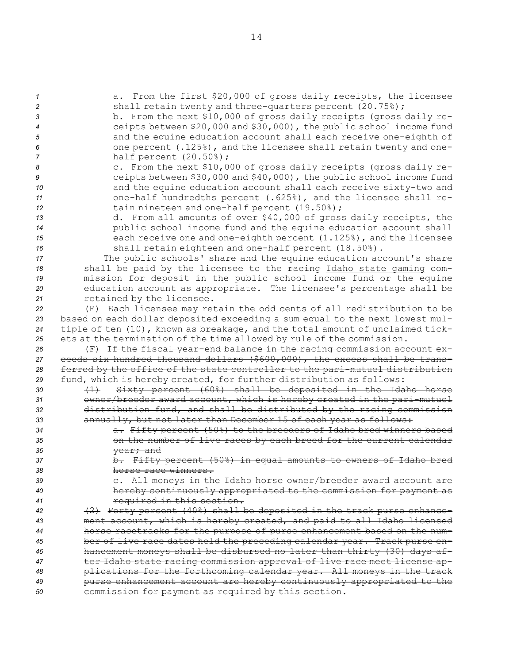a. From the first \$20,000 of gross daily receipts, the licensee **3** shall retain twenty and three-quarters percent (20.75%); b. From the next \$10,000 of gross daily receipts (gross daily re- ceipts between \$20,000 and \$30,000), the public school income fund and the equine education account shall each receive one-eighth of one percent (.125%), and the licensee shall retain twenty and one- half percent (20.50%); c. From the next \$10,000 of gross daily receipts (gross daily re- ceipts between \$30,000 and \$40,000), the public school income fund **and the equine education account shall each receive sixty-two and**  one-half hundredths percent (.625%), and the licensee shall re- tain nineteen and one-half percent (19.50%); d. From all amounts of over \$40,000 of gross daily receipts, the public school income fund and the equine education account shall each receive one and one-eighth percent (1.125%), and the licensee shall retain eighteen and one-half percent (18.50%). The public schools' share and the equine education account's share 18 shall be paid by the licensee to the racing Idaho state gaming com- mission for deposit in the public school income fund or the equine education account as appropriate. The licensee's percentage shall be retained by the licensee. (E) Each licensee may retain the odd cents of all redistribution to be based on each dollar deposited exceeding <sup>a</sup> sum equal to the next lowest mul- tiple of ten (10), known as breakage, and the total amount of unclaimed tick- ets at the termination of the time allowed by rule of the commission. (F) If the fiscal year-end balance in the racing commission account ex- ceeds six hundred thousand dollars (\$600,000), the excess shall be trans- ferred by the office of the state controller to the pari-mutuel distribution fund, which is hereby created, for further distribution as follows: (1) Sixty percent (60%) shall be deposited in the Idaho horse owner/breeder award account, which is hereby created in the pari-mutuel distribution fund, and shall be distributed by the racing commission annually, but not later than December 15 of each year as follows: a. Fifty percent (50%) to the breeders of Idaho bred winners based on the number of live races by each breed for the current calendar year; and b. Fifty percent (50%) in equal amounts to owners of Idaho bred horse race winners. c. All moneys in the Idaho horse owner/breeder award account are hereby continuously appropriated to the commission for payment as required in this section. (2) Forty percent (40%) shall be deposited in the track purse enhance- ment account, which is hereby created, and paid to all Idaho licensed horse racetracks for the purpose of purse enhancement based on the num- ber of live race dates held the preceding calendar year. Track purse en- hancement moneys shall be disbursed no later than thirty (30) days af- ter Idaho state racing commission approval of live race meet license ap- plications for the forthcoming calendar year. All moneys in the track purse enhancement account are hereby continuously appropriated to the commission for payment as required by this section.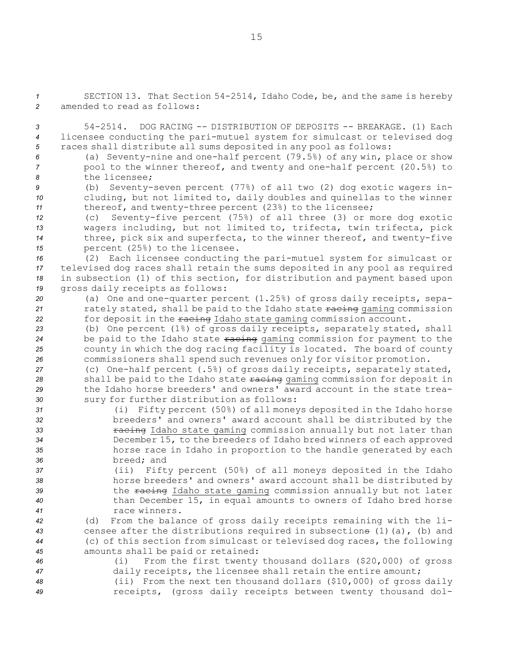*<sup>1</sup>* SECTION 13. That Section 54-2514, Idaho Code, be, and the same is hereby *2* amended to read as follows:

*3* 54-2514. DOG RACING -- DISTRIBUTION OF DEPOSITS -- BREAKAGE. (1) Each *<sup>4</sup>* licensee conducting the pari-mutuel system for simulcast or televised dog *<sup>5</sup>* races shall distribute all sums deposited in any pool as follows:

*<sup>6</sup>* (a) Seventy-nine and one-half percent (79.5%) of any win, place or show *<sup>7</sup>* pool to the winner thereof, and twenty and one-half percent (20.5%) to *8* the licensee;

*<sup>9</sup>* (b) Seventy-seven percent (77%) of all two (2) dog exotic wagers in-*<sup>10</sup>* cluding, but not limited to, daily doubles and quinellas to the winner *<sup>11</sup>* thereof, and twenty-three percent (23%) to the licensee;

 (c) Seventy-five percent (75%) of all three (3) or more dog exotic wagers including, but not limited to, trifecta, twin trifecta, pick three, pick six and superfecta, to the winner thereof, and twenty-five percent (25%) to the licensee.

 (2) Each licensee conducting the pari-mutuel system for simulcast or televised dog races shall retain the sums deposited in any pool as required in subsection (1) of this section, for distribution and payment based upon gross daily receipts as follows:

*<sup>20</sup>* (a) One and one-quarter percent (1.25%) of gross daily receipts, sepa-21 rately stated, shall be paid to the Idaho state racing gaming commission 22 for deposit in the racing Idaho state gaming commission account.

 (b) One percent (1%) of gross daily receipts, separately stated, shall 24 be paid to the Idaho state  $\frac{1}{2}$  racing commission for payment to the county in which the dog racing facility is located. The board of county commissioners shall spend such revenues only for visitor promotion.

 (c) One-half percent (.5%) of gross daily receipts, separately stated, 28 shall be paid to the Idaho state racing gaming commission for deposit in the Idaho horse breeders' and owners' award account in the state trea-sury for further distribution as follows:

 (i) Fifty percent (50%) of all moneys deposited in the Idaho horse breeders' and owners' award account shall be distributed by the *racing* Idaho state gaming commission annually but not later than December 15, to the breeders of Idaho bred winners of each approved horse race in Idaho in proportion to the handle generated by each breed; and

 (ii) Fifty percent (50%) of all moneys deposited in the Idaho horse breeders' and owners' award account shall be distributed by 39 the racing Idaho state gaming commission annually but not later than December 15, in equal amounts to owners of Idaho bred horse race winners.

 (d) From the balance of gross daily receipts remaining with the li- censee after the distributions required in subsections (1)(a), (b) and (c) of this section from simulcast or televised dog races, the following amounts shall be paid or retained:

*<sup>46</sup>* (i) From the first twenty thousand dollars (\$20,000) of gross *<sup>47</sup>* daily receipts, the licensee shall retain the entire amount; *<sup>48</sup>* (ii) From the next ten thousand dollars (\$10,000) of gross daily

*<sup>49</sup>* receipts, (gross daily receipts between twenty thousand dol-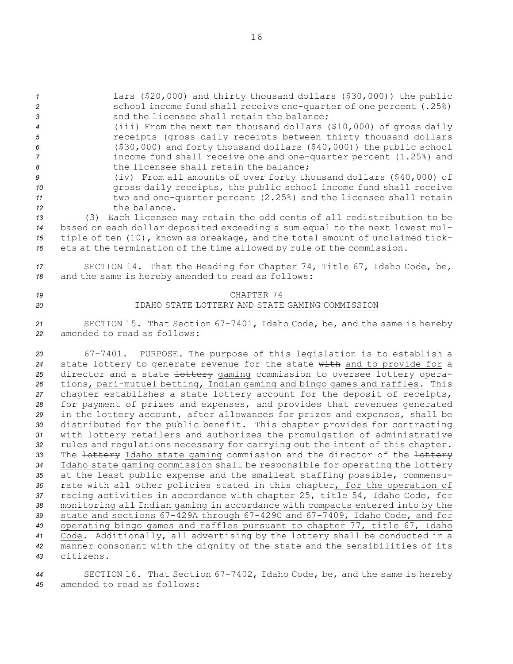*<sup>1</sup>* lars (\$20,000) and thirty thousand dollars (\$30,000)) the public *<sup>2</sup>* school income fund shall receive one-quarter of one percent (.25%) *3* and the licensee shall retain the balance;

- *<sup>4</sup>* (iii) From the next ten thousand dollars (\$10,000) of gross daily *<sup>5</sup>* receipts (gross daily receipts between thirty thousand dollars *<sup>6</sup>* (\$30,000) and forty thousand dollars (\$40,000)) the public school *<sup>7</sup>* income fund shall receive one and one-quarter percent (1.25%) and 8 the licensee shall retain the balance;
- *<sup>9</sup>* (iv) From all amounts of over forty thousand dollars (\$40,000) of 10 **gross daily receipts, the public school income fund shall receive** *<sup>11</sup>* two and one-quarter percent (2.25%) and the licensee shall retain *12* the balance.

 (3) Each licensee may retain the odd cents of all redistribution to be based on each dollar deposited exceeding <sup>a</sup> sum equal to the next lowest mul- tiple of ten (10), known as breakage, and the total amount of unclaimed tick-ets at the termination of the time allowed by rule of the commission.

*<sup>17</sup>* SECTION 14. That the Heading for Chapter 74, Title 67, Idaho Code, be, *<sup>18</sup>* and the same is hereby amended to read as follows:

# *19* CHAPTER 74 *20* IDAHO STATE LOTTERY AND STATE GAMING COMMISSION

*<sup>21</sup>* SECTION 15. That Section 67-7401, Idaho Code, be, and the same is hereby *22* amended to read as follows:

 67-7401. PURPOSE. The purpose of this legislation is to establish <sup>a</sup> state lottery to generate revenue for the state with and to provide for <sup>a</sup> director and <sup>a</sup> state lottery gaming commission to oversee lottery opera- tions, pari-mutuel betting, Indian gaming and bingo games and raffles. This chapter establishes <sup>a</sup> state lottery account for the deposit of receipts, for payment of prizes and expenses, and provides that revenues generated in the lottery account, after allowances for prizes and expenses, shall be distributed for the public benefit. This chapter provides for contracting with lottery retailers and authorizes the promulgation of administrative rules and regulations necessary for carrying out the intent of this chapter. 33 The lottery Idaho state gaming commission and the director of the lottery Idaho state gaming commission shall be responsible for operating the lottery at the least public expense and the smallest staffing possible, commensu- rate with all other policies stated in this chapter, for the operation of racing activities in accordance with chapter 25, title 54, Idaho Code, for monitoring all Indian gaming in accordance with compacts entered into by the state and sections 67-429A through 67-429C and 67-7409, Idaho Code, and for operating bingo games and raffles pursuant to chapter 77, title 67, Idaho Code. Additionally, all advertising by the lottery shall be conducted in <sup>a</sup> manner consonant with the dignity of the state and the sensibilities of its citizens.

*<sup>44</sup>* SECTION 16. That Section 67-7402, Idaho Code, be, and the same is hereby *45* amended to read as follows: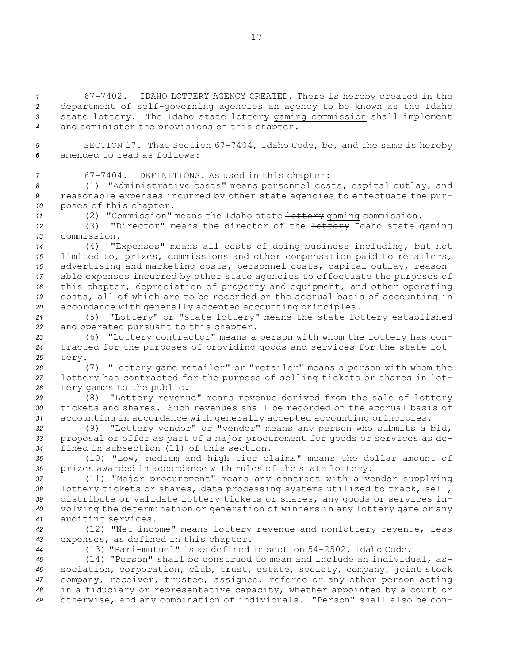67-7402. IDAHO LOTTERY AGENCY CREATED. There is hereby created in the department of self-governing agencies an agency to be known as the Idaho state lottery. The Idaho state lottery gaming commission shall implement and administer the provisions of this chapter.

*<sup>5</sup>* SECTION 17. That Section 67-7404, Idaho Code, be, and the same is hereby *6* amended to read as follows:

*<sup>7</sup>* 67-7404. DEFINITIONS. As used in this chapter:

*<sup>8</sup>* (1) "Administrative costs" means personnel costs, capital outlay, and *<sup>9</sup>* reasonable expenses incurred by other state agencies to effectuate the pur-*<sup>10</sup>* poses of this chapter.

11 (2) "Commission" means the Idaho state lottery gaming commission.

*<sup>12</sup>* (3) "Director" means the director of the lottery Idaho state gaming *13* commission.

 (4) "Expenses" means all costs of doing business including, but not limited to, prizes, commissions and other compensation paid to retailers, advertising and marketing costs, personnel costs, capital outlay, reason- able expenses incurred by other state agencies to effectuate the purposes of this chapter, depreciation of property and equipment, and other operating costs, all of which are to be recorded on the accrual basis of accounting in accordance with generally accepted accounting principles.

*<sup>21</sup>* (5) "Lottery" or "state lottery" means the state lottery established *<sup>22</sup>* and operated pursuant to this chapter.

*<sup>23</sup>* (6) "Lottery contractor" means <sup>a</sup> person with whom the lottery has con-*<sup>24</sup>* tracted for the purposes of providing goods and services for the state lot-*25* tery.

*<sup>26</sup>* (7) "Lottery game retailer" or "retailer" means <sup>a</sup> person with whom the *<sup>27</sup>* lottery has contracted for the purpose of selling tickets or shares in lot-*<sup>28</sup>* tery games to the public.

*<sup>29</sup>* (8) "Lottery revenue" means revenue derived from the sale of lottery *30* tickets and shares. Such revenues shall be recorded on the accrual basis of *<sup>31</sup>* accounting in accordance with generally accepted accounting principles.

*<sup>32</sup>* (9) "Lottery vendor" or "vendor" means any person who submits <sup>a</sup> bid, *<sup>33</sup>* proposal or offer as part of <sup>a</sup> major procurement for goods or services as de-*34* fined in subsection (11) of this section.

*<sup>35</sup>* (10) "Low, medium and high tier claims" means the dollar amount of *<sup>36</sup>* prizes awarded in accordance with rules of the state lottery.

 (11) "Major procurement" means any contract with <sup>a</sup> vendor supplying lottery tickets or shares, data processing systems utilized to track, sell, distribute or validate lottery tickets or shares, any goods or services in- volving the determination or generation of winners in any lottery game or any auditing services.

*<sup>42</sup>* (12) "Net income" means lottery revenue and nonlottery revenue, less *<sup>43</sup>* expenses, as defined in this chapter.

*<sup>44</sup>* (13) "Pari-mutuel" is as defined in section 54-2502, Idaho Code.

 (14) "Person" shall be construed to mean and include an individual, as- sociation, corporation, club, trust, estate, society, company, joint stock company, receiver, trustee, assignee, referee or any other person acting in <sup>a</sup> fiduciary or representative capacity, whether appointed by <sup>a</sup> court or otherwise, and any combination of individuals. "Person" shall also be con-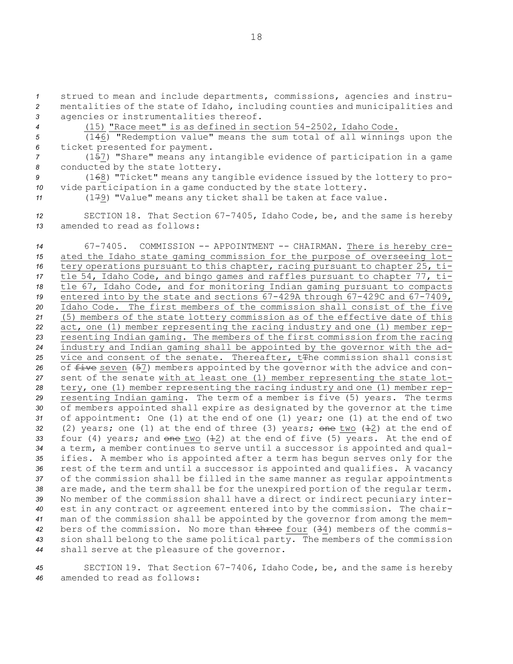*<sup>1</sup>* strued to mean and include departments, commissions, agencies and instru-*<sup>2</sup>* mentalities of the state of Idaho, including counties and municipalities and *<sup>3</sup>* agencies or instrumentalities thereof.

*<sup>4</sup>* (15) "Race meet" is as defined in section 54-2502, Idaho Code.

*<sup>5</sup>* (146) "Redemption value" means the sum total of all winnings upon the *<sup>6</sup>* ticket presented for payment.

*<sup>7</sup>* (157) "Share" means any intangible evidence of participation in <sup>a</sup> game *<sup>8</sup>* conducted by the state lottery.

*<sup>9</sup>* (168) "Ticket" means any tangible evidence issued by the lottery to pro-*<sup>10</sup>* vide participation in <sup>a</sup> game conducted by the state lottery.

*<sup>11</sup>* (179) "Value" means any ticket shall be taken at face value.

*<sup>12</sup>* SECTION 18. That Section 67-7405, Idaho Code, be, and the same is hereby *13* amended to read as follows:

 67-7405. COMMISSION -- APPOINTMENT -- CHAIRMAN. There is hereby cre- ated the Idaho state gaming commission for the purpose of overseeing lot- tery operations pursuant to this chapter, racing pursuant to chapter 25, ti- tle 54, Idaho Code, and bingo games and raffles pursuant to chapter 77, ti- tle 67, Idaho Code, and for monitoring Indian gaming pursuant to compacts entered into by the state and sections 67-429A through 67-429C and 67-7409, Idaho Code. The first members of the commission shall consist of the five (5) members of the state lottery commission as of the effective date of this act, one (1) member representing the racing industry and one (1) member rep- resenting Indian gaming. The members of the first commission from the racing industry and Indian gaming shall be appointed by the governor with the ad-25 vice and consent of the senate. Thereafter, t<sub>The commission shall consist</sub> 26 of five seven (57) members appointed by the governor with the advice and con- sent of the senate with at least one (1) member representing the state lot- tery, one (1) member representing the racing industry and one (1) member rep- resenting Indian gaming. The term of <sup>a</sup> member is five (5) years. The terms of members appointed shall expire as designated by the governor at the time of appointment: One (1) at the end of one (1) year; one (1) at the end of two (2) years; one (1) at the end of three (3) years; one two ( $\pm$ 2) at the end of 33 four (4) years; and one two ( $\pm 2$ ) at the end of five (5) years. At the end of <sup>a</sup> term, <sup>a</sup> member continues to serve until <sup>a</sup> successor is appointed and qual- ifies. <sup>A</sup> member who is appointed after <sup>a</sup> term has begun serves only for the rest of the term and until <sup>a</sup> successor is appointed and qualifies. <sup>A</sup> vacancy of the commission shall be filled in the same manner as regular appointments are made, and the term shall be for the unexpired portion of the regular term. No member of the commission shall have <sup>a</sup> direct or indirect pecuniary inter- est in any contract or agreement entered into by the commission. The chair- man of the commission shall be appointed by the governor from among the mem- bers of the commission. No more than three four (34) members of the commis- sion shall belong to the same political party. The members of the commission shall serve at the pleasure of the governor.

*<sup>45</sup>* SECTION 19. That Section 67-7406, Idaho Code, be, and the same is hereby *46* amended to read as follows: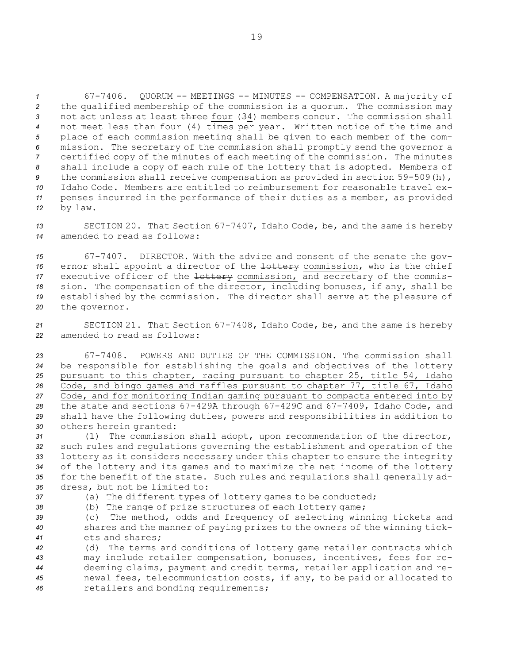67-7406. QUORUM -- MEETINGS -- MINUTES -- COMPENSATION. <sup>A</sup> majority of the qualified membership of the commission is <sup>a</sup> quorum. The commission may not act unless at least three four (34) members concur. The commission shall not meet less than four (4) times per year. Written notice of the time and place of each commission meeting shall be given to each member of the com- mission. The secretary of the commission shall promptly send the governor <sup>a</sup> certified copy of the minutes of each meeting of the commission. The minutes shall include <sup>a</sup> copy of each rule of the lottery that is adopted. Members of the commission shall receive compensation as provided in section 59-509(h), Idaho Code. Members are entitled to reimbursement for reasonable travel ex- penses incurred in the performance of their duties as <sup>a</sup> member, as provided *<sup>12</sup>* by law.

*<sup>13</sup>* SECTION 20. That Section 67-7407, Idaho Code, be, and the same is hereby *14* amended to read as follows:

 67-7407. DIRECTOR. With the advice and consent of the senate the gov-16 ernor shall appoint a director of the lottery commission, who is the chief 17 executive officer of the lottery commission, and secretary of the commis- sion. The compensation of the director, including bonuses, if any, shall be established by the commission. The director shall serve at the pleasure of the governor.

*<sup>21</sup>* SECTION 21. That Section 67-7408, Idaho Code, be, and the same is hereby *22* amended to read as follows:

 67-7408. POWERS AND DUTIES OF THE COMMISSION. The commission shall be responsible for establishing the goals and objectives of the lottery pursuant to this chapter, racing pursuant to chapter 25, title 54, Idaho Code, and bingo games and raffles pursuant to chapter 77, title 67, Idaho Code, and for monitoring Indian gaming pursuant to compacts entered into by the state and sections 67-429A through 67-429C and 67-7409, Idaho Code, and shall have the following duties, powers and responsibilities in addition to others herein granted:

 (1) The commission shall adopt, upon recommendation of the director, such rules and regulations governing the establishment and operation of the lottery as it considers necessary under this chapter to ensure the integrity of the lottery and its games and to maximize the net income of the lottery for the benefit of the state. Such rules and regulations shall generally ad-dress, but not be limited to:

*<sup>37</sup>* (a) The different types of lottery games to be conducted; *<sup>38</sup>* (b) The range of prize structures of each lottery game;

*<sup>39</sup>* (c) The method, odds and frequency of selecting winning tickets and *<sup>40</sup>* shares and the manner of paying prizes to the owners of the winning tick-*41* ets and shares;

 (d) The terms and conditions of lottery game retailer contracts which may include retailer compensation, bonuses, incentives, fees for re- deeming claims, payment and credit terms, retailer application and re- newal fees, telecommunication costs, if any, to be paid or allocated to retailers and bonding requirements;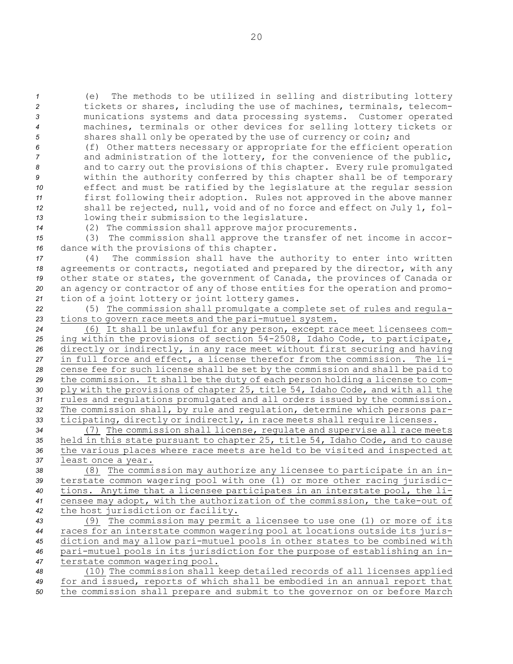(e) The methods to be utilized in selling and distributing lottery tickets or shares, including the use of machines, terminals, telecom- munications systems and data processing systems. Customer operated machines, terminals or other devices for selling lottery tickets or shares shall only be operated by the use of currency or coin; and

 (f) Other matters necessary or appropriate for the efficient operation and administration of the lottery, for the convenience of the public, and to carry out the provisions of this chapter. Every rule promulgated within the authority conferred by this chapter shall be of temporary effect and must be ratified by the legislature at the regular session first following their adoption. Rules not approved in the above manner shall be rejected, null, void and of no force and effect on July 1, fol-lowing their submission to the legislature.

*<sup>14</sup>* (2) The commission shall approve major procurements.

*<sup>15</sup>* (3) The commission shall approve the transfer of net income in accor-*<sup>16</sup>* dance with the provisions of this chapter.

 (4) The commission shall have the authority to enter into written agreements or contracts, negotiated and prepared by the director, with any other state or states, the government of Canada, the provinces of Canada or an agency or contractor of any of those entities for the operation and promo-tion of <sup>a</sup> joint lottery or joint lottery games.

*<sup>22</sup>* (5) The commission shall promulgate <sup>a</sup> complete set of rules and regula-*<sup>23</sup>* tions to govern race meets and the pari-mutuel system.

 (6) It shall be unlawful for any person, except race meet licensees com- ing within the provisions of section 54-2508, Idaho Code, to participate, directly or indirectly, in any race meet without first securing and having in full force and effect, <sup>a</sup> license therefor from the commission. The li- cense fee for such license shall be set by the commission and shall be paid to the commission. It shall be the duty of each person holding <sup>a</sup> license to com- ply with the provisions of chapter 25, title 54, Idaho Code, and with all the rules and regulations promulgated and all orders issued by the commission. The commission shall, by rule and regulation, determine which persons par-ticipating, directly or indirectly, in race meets shall require licenses.

 (7) The commission shall license, regulate and supervise all race meets held in this state pursuant to chapter 25, title 54, Idaho Code, and to cause the various places where race meets are held to be visited and inspected at least once <sup>a</sup> year.

 (8) The commission may authorize any licensee to participate in an in- terstate common wagering pool with one (1) or more other racing jurisdic- tions. Anytime that <sup>a</sup> licensee participates in an interstate pool, the li- censee may adopt, with the authorization of the commission, the take-out of the host jurisdiction or facility.

 (9) The commission may permit <sup>a</sup> licensee to use one (1) or more of its races for an interstate common wagering pool at locations outside its juris- diction and may allow pari-mutuel pools in other states to be combined with pari-mutuel pools in its jurisdiction for the purpose of establishing an in-terstate common wagering pool.

*<sup>48</sup>* (10) The commission shall keep detailed records of all licenses applied *<sup>49</sup>* for and issued, reports of which shall be embodied in an annual report that *<sup>50</sup>* the commission shall prepare and submit to the governor on or before March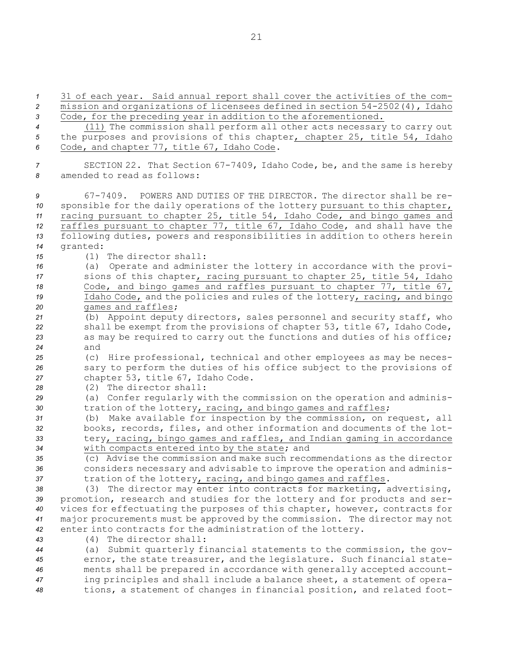| $\mathcal I$                          | 31 of each year. Said annual report shall cover the activities of the com-                                                                                                                                                                                                                                                                                                                                                             |
|---------------------------------------|----------------------------------------------------------------------------------------------------------------------------------------------------------------------------------------------------------------------------------------------------------------------------------------------------------------------------------------------------------------------------------------------------------------------------------------|
| 2                                     | mission and organizations of licensees defined in section 54-2502(4), Idaho                                                                                                                                                                                                                                                                                                                                                            |
| 3                                     | Code, for the preceding year in addition to the aforementioned.                                                                                                                                                                                                                                                                                                                                                                        |
| $\overline{4}$                        | (11) The commission shall perform all other acts necessary to carry out                                                                                                                                                                                                                                                                                                                                                                |
| 5                                     | the purposes and provisions of this chapter, chapter 25, title 54, Idaho                                                                                                                                                                                                                                                                                                                                                               |
| 6                                     | Code, and chapter 77, title 67, Idaho Code.                                                                                                                                                                                                                                                                                                                                                                                            |
| 7                                     | SECTION 22. That Section 67-7409, Idaho Code, be, and the same is hereby                                                                                                                                                                                                                                                                                                                                                               |
| 8                                     | amended to read as follows:                                                                                                                                                                                                                                                                                                                                                                                                            |
| 9<br>10<br>11<br>12<br>13<br>14<br>15 | POWERS AND DUTIES OF THE DIRECTOR. The director shall be re-<br>67-7409.<br>sponsible for the daily operations of the lottery pursuant to this chapter,<br>racing pursuant to chapter 25, title 54, Idaho Code, and bingo games and<br>raffles pursuant to chapter 77, title 67, Idaho Code, and shall have the<br>following duties, powers and responsibilities in addition to others herein<br>granted:<br>$(1)$ The director shall: |
| 16<br>17<br>18<br>19                  | (a) Operate and administer the lottery in accordance with the provi-<br>sions of this chapter, racing pursuant to chapter 25, title 54, Idaho<br>Code, and bingo games and raffles pursuant to chapter 77, title 67,<br>Idaho Code, and the policies and rules of the lottery, racing, and bingo<br>games and raffles;                                                                                                                 |
| 20<br>21<br>22<br>23<br>24            | (b) Appoint deputy directors, sales personnel and security staff, who<br>shall be exempt from the provisions of chapter 53, title 67, Idaho Code,<br>as may be required to carry out the functions and duties of his office;<br>and                                                                                                                                                                                                    |
| 25                                    | (c) Hire professional, technical and other employees as may be neces-                                                                                                                                                                                                                                                                                                                                                                  |
| 26                                    | sary to perform the duties of his office subject to the provisions of                                                                                                                                                                                                                                                                                                                                                                  |
| 27                                    | chapter 53, title 67, Idaho Code.                                                                                                                                                                                                                                                                                                                                                                                                      |
| 28                                    | $(2)$ The director shall:                                                                                                                                                                                                                                                                                                                                                                                                              |
| 29                                    | (a) Confer regularly with the commission on the operation and adminis-                                                                                                                                                                                                                                                                                                                                                                 |
| 30                                    | tration of the lottery, racing, and bingo games and raffles;                                                                                                                                                                                                                                                                                                                                                                           |
| 31                                    | (b) Make available for inspection by the commission, on request, all                                                                                                                                                                                                                                                                                                                                                                   |
| 32                                    | books, records, files, and other information and documents of the lot-                                                                                                                                                                                                                                                                                                                                                                 |
| 33                                    | tery, racing, bingo games and raffles, and Indian gaming in accordance                                                                                                                                                                                                                                                                                                                                                                 |
| 34                                    | with compacts entered into by the state; and                                                                                                                                                                                                                                                                                                                                                                                           |
| 35                                    | (c) Advise the commission and make such recommendations as the director                                                                                                                                                                                                                                                                                                                                                                |
| 36                                    | considers necessary and advisable to improve the operation and adminis-                                                                                                                                                                                                                                                                                                                                                                |
| 37                                    | tration of the lottery, racing, and bingo games and raffles.                                                                                                                                                                                                                                                                                                                                                                           |
| 38                                    | (3) The director may enter into contracts for marketing, advertising,                                                                                                                                                                                                                                                                                                                                                                  |
| 39                                    | promotion, research and studies for the lottery and for products and ser-                                                                                                                                                                                                                                                                                                                                                              |
| 40                                    | vices for effectuating the purposes of this chapter, however, contracts for                                                                                                                                                                                                                                                                                                                                                            |
| 41                                    | major procurements must be approved by the commission. The director may not                                                                                                                                                                                                                                                                                                                                                            |
| 42<br>43<br>44<br>45                  | enter into contracts for the administration of the lottery.<br>(4) The director shall:<br>Submit quarterly financial statements to the commission, the gov-<br>(a)<br>ernor, the state treasurer, and the legislature. Such financial state-                                                                                                                                                                                           |
| 46                                    | ments shall be prepared in accordance with generally accepted account-                                                                                                                                                                                                                                                                                                                                                                 |
| 47                                    | ing principles and shall include a balance sheet, a statement of opera-                                                                                                                                                                                                                                                                                                                                                                |
| 48                                    | tions, a statement of changes in financial position, and related foot-                                                                                                                                                                                                                                                                                                                                                                 |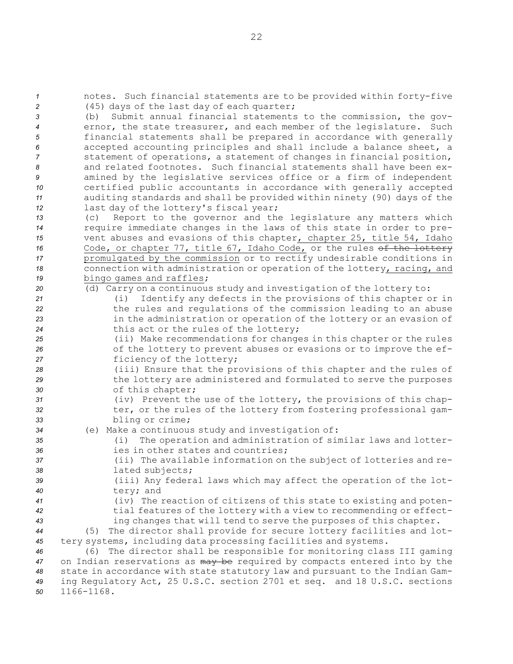notes. Such financial statements are to be provided within forty-five (45) days of the last day of each quarter; (b) Submit annual financial statements to the commission, the gov- ernor, the state treasurer, and each member of the legislature. Such financial statements shall be prepared in accordance with generally accepted accounting principles and shall include <sup>a</sup> balance sheet, <sup>a</sup> statement of operations, <sup>a</sup> statement of changes in financial position, and related footnotes. Such financial statements shall have been ex- amined by the legislative services office or <sup>a</sup> firm of independent certified public accountants in accordance with generally accepted auditing standards and shall be provided within ninety (90) days of the last day of the lottery's fiscal year; (c) Report to the governor and the legislature any matters which require immediate changes in the laws of this state in order to pre- vent abuses and evasions of this chapter, chapter 25, title 54, Idaho 16 Code, or chapter 77, title 67, Idaho Code, or the rules of the lottery promulgated by the commission or to rectify undesirable conditions in connection with administration or operation of the lottery, racing, and bingo games and raffles; (d) Carry on <sup>a</sup> continuous study and investigation of the lottery to: (i) Identify any defects in the provisions of this chapter or in the rules and regulations of the commission leading to an abuse in the administration or operation of the lottery or an evasion of this act or the rules of the lottery; (ii) Make recommendations for changes in this chapter or the rules of the lottery to prevent abuses or evasions or to improve the ef- ficiency of the lottery; (iii) Ensure that the provisions of this chapter and the rules of the lottery are administered and formulated to serve the purposes of this chapter; (iv) Prevent the use of the lottery, the provisions of this chap-32 ter, or the rules of the lottery from fostering professional gam- bling or crime; (e) Make <sup>a</sup> continuous study and investigation of: (i) The operation and administration of similar laws and lotter-**ies in other states and countries;**  (ii) The available information on the subject of lotteries and re- lated subjects; (iii) Any federal laws which may affect the operation of the lot- tery; and (iv) The reaction of citizens of this state to existing and poten- tial features of the lottery with <sup>a</sup> view to recommending or effect- ing changes that will tend to serve the purposes of this chapter. (5) The director shall provide for secure lottery facilities and lot- tery systems, including data processing facilities and systems. (6) The director shall be responsible for monitoring class III gaming on Indian reservations as may be required by compacts entered into by the state in accordance with state statutory law and pursuant to the Indian Gam- ing Regulatory Act, 25 U.S.C. section 2701 et seq. and 18 U.S.C. sections 1166-1168.

22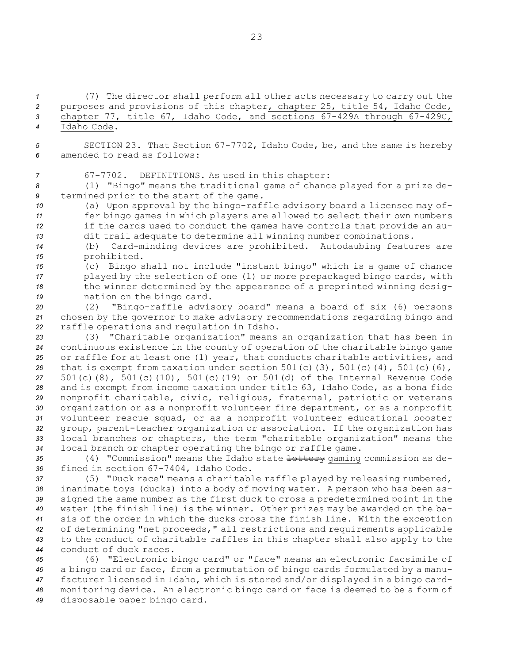(7) The director shall perform all other acts necessary to carry out the purposes and provisions of this chapter, chapter 25, title 54, Idaho Code, chapter 77, title 67, Idaho Code, and sections 67-429A through 67-429C, Idaho Code.

*<sup>5</sup>* SECTION 23. That Section 67-7702, Idaho Code, be, and the same is hereby *6* amended to read as follows:

*<sup>7</sup>* 67-7702. DEFINITIONS. As used in this chapter:

*<sup>8</sup>* (1) "Bingo" means the traditional game of chance played for <sup>a</sup> prize de-*<sup>9</sup>* termined prior to the start of the game.

 (a) Upon approval by the bingo-raffle advisory board <sup>a</sup> licensee may of- fer bingo games in which players are allowed to select their own numbers if the cards used to conduct the games have controls that provide an au-dit trail adequate to determine all winning number combinations.

*<sup>14</sup>* (b) Card-minding devices are prohibited. Autodaubing features are *<sup>15</sup>* prohibited.

 (c) Bingo shall not include "instant bingo" which is <sup>a</sup> game of chance played by the selection of one (1) or more prepackaged bingo cards, with the winner determined by the appearance of <sup>a</sup> preprinted winning desig-nation on the bingo card.

*<sup>20</sup>* (2) "Bingo-raffle advisory board" means <sup>a</sup> board of six (6) persons *<sup>21</sup>* chosen by the governor to make advisory recommendations regarding bingo and *<sup>22</sup>* raffle operations and regulation in Idaho.

 (3) "Charitable organization" means an organization that has been in continuous existence in the county of operation of the charitable bingo game or raffle for at least one (1) year, that conducts charitable activities, and that is exempt from taxation under section 501(c)(3), 501(c)(4), 501(c)(6), 501(c)(8), 501(c)(10), 501(c)(19) or 501(d) of the Internal Revenue Code and is exempt from income taxation under title 63, Idaho Code, as <sup>a</sup> bona fide nonprofit charitable, civic, religious, fraternal, patriotic or veterans organization or as <sup>a</sup> nonprofit volunteer fire department, or as <sup>a</sup> nonprofit volunteer rescue squad, or as <sup>a</sup> nonprofit volunteer educational booster group, parent-teacher organization or association. If the organization has local branches or chapters, the term "charitable organization" means the local branch or chapter operating the bingo or raffle game.

35 (4) "Commission" means the Idaho state <del>lottery</del> qaming commission as de-*<sup>36</sup>* fined in section 67-7404, Idaho Code.

 (5) "Duck race" means <sup>a</sup> charitable raffle played by releasing numbered, inanimate toys (ducks) into <sup>a</sup> body of moving water. <sup>A</sup> person who has been as- signed the same number as the first duck to cross <sup>a</sup> predetermined point in the water (the finish line) is the winner. Other prizes may be awarded on the ba- sis of the order in which the ducks cross the finish line. With the exception of determining "net proceeds," all restrictions and requirements applicable to the conduct of charitable raffles in this chapter shall also apply to the conduct of duck races.

 (6) "Electronic bingo card" or "face" means an electronic facsimile of <sup>a</sup> bingo card or face, from <sup>a</sup> permutation of bingo cards formulated by <sup>a</sup> manu- facturer licensed in Idaho, which is stored and/or displayed in <sup>a</sup> bingo card- monitoring device. An electronic bingo card or face is deemed to be <sup>a</sup> form of disposable paper bingo card.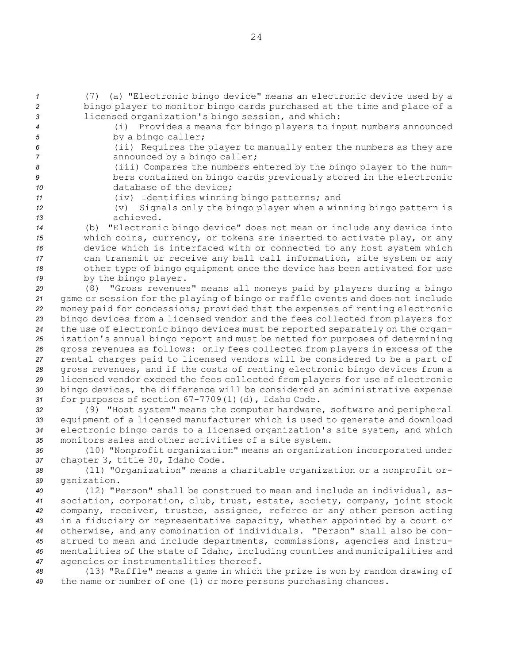*<sup>1</sup>* (7) (a) "Electronic bingo device" means an electronic device used by <sup>a</sup> *<sup>2</sup>* bingo player to monitor bingo cards purchased at the time and place of <sup>a</sup> *<sup>3</sup>* licensed organization's bingo session, and which:

- 
- *<sup>4</sup>* (i) Provides <sup>a</sup> means for bingo players to input numbers announced 5 by a bingo caller;
- 
- *<sup>6</sup>* (ii) Requires the player to manually enter the numbers as they are 7 **announced by a bingo caller;**
- *<sup>8</sup>* (iii) Compares the numbers entered by the bingo player to the num-*<sup>9</sup>* bers contained on bingo cards previously stored in the electronic 10 database of the device;
- 
- *<sup>11</sup>* (iv) Identifies winning bingo patterns; and
- *<sup>12</sup>* (v) Signals only the bingo player when <sup>a</sup> winning bingo pattern is *13* achieved.
- *<sup>14</sup>* (b) "Electronic bingo device" does not mean or include any device into *<sup>15</sup>* which coins, currency, or tokens are inserted to activate play, or any *<sup>16</sup>* device which is interfaced with or connected to any host system which *<sup>17</sup>* can transmit or receive any ball call information, site system or any *<sup>18</sup>* other type of bingo equipment once the device has been activated for use *<sup>19</sup>* by the bingo player.
- *<sup>20</sup>* (8) "Gross revenues" means all moneys paid by players during <sup>a</sup> bingo *<sup>21</sup>* game or session for the playing of bingo or raffle events and does not include *<sup>22</sup>* money paid for concessions; provided that the expenses of renting electronic *<sup>23</sup>* bingo devices from <sup>a</sup> licensed vendor and the fees collected from players for *<sup>24</sup>* the use of electronic bingo devices must be reported separately on the organ-*<sup>25</sup>* ization's annual bingo report and must be netted for purposes of determining *<sup>26</sup>* gross revenues as follows: only fees collected from players in excess of the *<sup>27</sup>* rental charges paid to licensed vendors will be considered to be <sup>a</sup> part of *<sup>28</sup>* gross revenues, and if the costs of renting electronic bingo devices from <sup>a</sup> *<sup>29</sup>* licensed vendor exceed the fees collected from players for use of electronic *<sup>30</sup>* bingo devices, the difference will be considered an administrative expense *<sup>31</sup>* for purposes of section 67-7709(1)(d), Idaho Code.
- *<sup>32</sup>* (9) "Host system" means the computer hardware, software and peripheral *<sup>33</sup>* equipment of <sup>a</sup> licensed manufacturer which is used to generate and download *<sup>34</sup>* electronic bingo cards to <sup>a</sup> licensed organization's site system, and which *<sup>35</sup>* monitors sales and other activities of <sup>a</sup> site system.
- *<sup>36</sup>* (10) "Nonprofit organization" means an organization incorporated under *<sup>37</sup>* chapter 3, title 30, Idaho Code.
- *<sup>38</sup>* (11) "Organization" means <sup>a</sup> charitable organization or <sup>a</sup> nonprofit or-*<sup>39</sup>* ganization.
- *<sup>40</sup>* (12) "Person" shall be construed to mean and include an individual, as-*<sup>41</sup>* sociation, corporation, club, trust, estate, society, company, joint stock *<sup>42</sup>* company, receiver, trustee, assignee, referee or any other person acting *<sup>43</sup>* in <sup>a</sup> fiduciary or representative capacity, whether appointed by <sup>a</sup> court or *<sup>44</sup>* otherwise, and any combination of individuals. "Person" shall also be con-*<sup>45</sup>* strued to mean and include departments, commissions, agencies and instru-*<sup>46</sup>* mentalities of the state of Idaho, including counties and municipalities and *<sup>47</sup>* agencies or instrumentalities thereof.
- *<sup>48</sup>* (13) "Raffle" means <sup>a</sup> game in which the prize is won by random drawing of *<sup>49</sup>* the name or number of one (1) or more persons purchasing chances.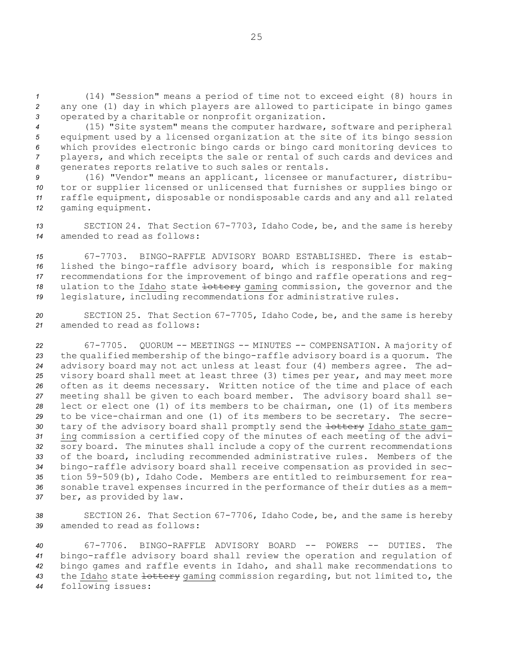*<sup>1</sup>* (14) "Session" means <sup>a</sup> period of time not to exceed eight (8) hours in *<sup>2</sup>* any one (1) day in which players are allowed to participate in bingo games *<sup>3</sup>* operated by <sup>a</sup> charitable or nonprofit organization.

 (15) "Site system" means the computer hardware, software and peripheral equipment used by <sup>a</sup> licensed organization at the site of its bingo session which provides electronic bingo cards or bingo card monitoring devices to players, and which receipts the sale or rental of such cards and devices and generates reports relative to such sales or rentals.

 (16) "Vendor" means an applicant, licensee or manufacturer, distribu- tor or supplier licensed or unlicensed that furnishes or supplies bingo or raffle equipment, disposable or nondisposable cards and any and all related gaming equipment.

*<sup>13</sup>* SECTION 24. That Section 67-7703, Idaho Code, be, and the same is hereby *14* amended to read as follows:

 67-7703. BINGO-RAFFLE ADVISORY BOARD ESTABLISHED. There is estab- lished the bingo-raffle advisory board, which is responsible for making recommendations for the improvement of bingo and raffle operations and reg-18 ulation to the Idaho state lottery gaming commission, the governor and the legislature, including recommendations for administrative rules.

*<sup>20</sup>* SECTION 25. That Section 67-7705, Idaho Code, be, and the same is hereby *21* amended to read as follows:

 67-7705. QUORUM -- MEETINGS -- MINUTES -- COMPENSATION. <sup>A</sup> majority of the qualified membership of the bingo-raffle advisory board is <sup>a</sup> quorum. The advisory board may not act unless at least four (4) members agree. The ad- visory board shall meet at least three (3) times per year, and may meet more often as it deems necessary. Written notice of the time and place of each meeting shall be given to each board member. The advisory board shall se- lect or elect one (1) of its members to be chairman, one (1) of its members to be vice-chairman and one (1) of its members to be secretary. The secre-30 tary of the advisory board shall promptly send the lottery Idaho state gam- ing commission <sup>a</sup> certified copy of the minutes of each meeting of the advi- sory board. The minutes shall include <sup>a</sup> copy of the current recommendations of the board, including recommended administrative rules. Members of the bingo-raffle advisory board shall receive compensation as provided in sec- tion 59-509(b), Idaho Code. Members are entitled to reimbursement for rea- sonable travel expenses incurred in the performance of their duties as <sup>a</sup> mem-ber, as provided by law.

*<sup>38</sup>* SECTION 26. That Section 67-7706, Idaho Code, be, and the same is hereby *39* amended to read as follows:

 67-7706. BINGO-RAFFLE ADVISORY BOARD -- POWERS -- DUTIES. The bingo-raffle advisory board shall review the operation and regulation of bingo games and raffle events in Idaho, and shall make recommendations to the Idaho state lottery gaming commission regarding, but not limited to, the following issues: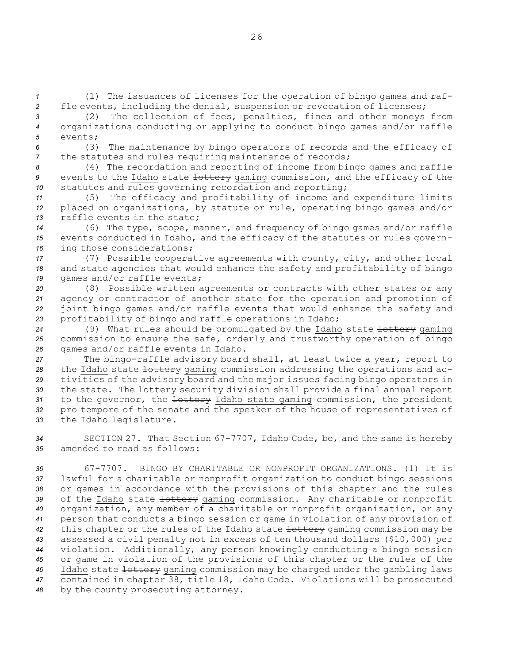*<sup>1</sup>* (1) The issuances of licenses for the operation of bingo games and raf-*<sup>2</sup>* fle events, including the denial, suspension or revocation of licenses;

*<sup>3</sup>* (2) The collection of fees, penalties, fines and other moneys from *<sup>4</sup>* organizations conducting or applying to conduct bingo games and/or raffle *5* events;

*<sup>6</sup>* (3) The maintenance by bingo operators of records and the efficacy of *<sup>7</sup>* the statutes and rules requiring maintenance of records;

*<sup>8</sup>* (4) The recordation and reporting of income from bingo games and raffle 9 events to the Idaho state lottery gaming commission, and the efficacy of the *<sup>10</sup>* statutes and rules governing recordation and reporting;

*<sup>11</sup>* (5) The efficacy and profitability of income and expenditure limits *<sup>12</sup>* placed on organizations, by statute or rule, operating bingo games and/or *13* raffle events in the state;

*<sup>14</sup>* (6) The type, scope, manner, and frequency of bingo games and/or raffle *<sup>15</sup>* events conducted in Idaho, and the efficacy of the statutes or rules govern-*<sup>16</sup>* ing those considerations;

*<sup>17</sup>* (7) Possible cooperative agreements with county, city, and other local *<sup>18</sup>* and state agencies that would enhance the safety and profitability of bingo 19 games and/or raffle events;

 (8) Possible written agreements or contracts with other states or any agency or contractor of another state for the operation and promotion of joint bingo games and/or raffle events that would enhance the safety and profitability of bingo and raffle operations in Idaho;

24 (9) What rules should be promulgated by the Idaho state lottery gaming *<sup>25</sup>* commission to ensure the safe, orderly and trustworthy operation of bingo *<sup>26</sup>* games and/or raffle events in Idaho.

 The bingo-raffle advisory board shall, at least twice <sup>a</sup> year, report to 28 the Idaho state lottery gaming commission addressing the operations and ac- tivities of the advisory board and the major issues facing bingo operators in the state. The lottery security division shall provide <sup>a</sup> final annual report to the governor, the lottery Idaho state gaming commission, the president pro tempore of the senate and the speaker of the house of representatives of the Idaho legislature.

*<sup>34</sup>* SECTION 27. That Section 67-7707, Idaho Code, be, and the same is hereby *35* amended to read as follows:

 67-7707. BINGO BY CHARITABLE OR NONPROFIT ORGANIZATIONS. (1) It is lawful for <sup>a</sup> charitable or nonprofit organization to conduct bingo sessions or games in accordance with the provisions of this chapter and the rules 39 of the Idaho state lottery gaming commission. Any charitable or nonprofit organization, any member of <sup>a</sup> charitable or nonprofit organization, or any person that conducts <sup>a</sup> bingo session or game in violation of any provision of this chapter or the rules of the Idaho state lottery gaming commission may be assessed <sup>a</sup> civil penalty not in excess of ten thousand dollars (\$10,000) per violation. Additionally, any person knowingly conducting <sup>a</sup> bingo session or game in violation of the provisions of this chapter or the rules of the Idaho state lottery gaming commission may be charged under the gambling laws contained in chapter 38, title 18, Idaho Code. Violations will be prosecuted by the county prosecuting attorney.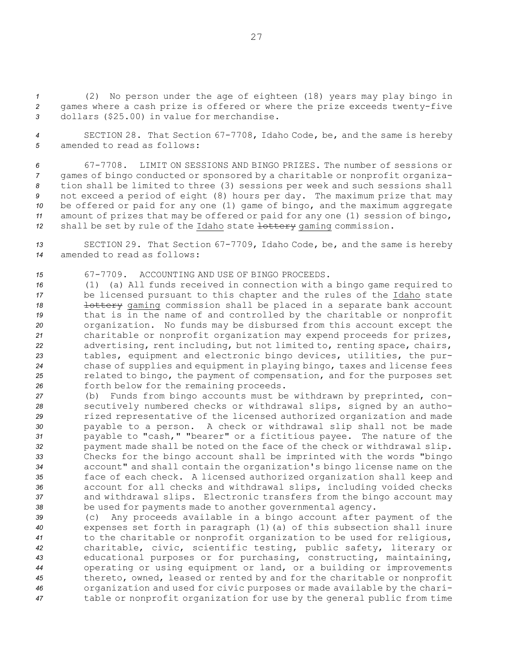*<sup>1</sup>* (2) No person under the age of eighteen (18) years may play bingo in *<sup>2</sup>* games where <sup>a</sup> cash prize is offered or where the prize exceeds twenty-five *<sup>3</sup>* dollars (\$25.00) in value for merchandise.

*<sup>4</sup>* SECTION 28. That Section 67-7708, Idaho Code, be, and the same is hereby *5* amended to read as follows:

 67-7708. LIMIT ON SESSIONS AND BINGO PRIZES. The number of sessions or games of bingo conducted or sponsored by <sup>a</sup> charitable or nonprofit organiza- tion shall be limited to three (3) sessions per week and such sessions shall not exceed <sup>a</sup> period of eight (8) hours per day. The maximum prize that may be offered or paid for any one (1) game of bingo, and the maximum aggregate amount of prizes that may be offered or paid for any one (1) session of bingo, 12 shall be set by rule of the Idaho state lottery gaming commission.

*<sup>13</sup>* SECTION 29. That Section 67-7709, Idaho Code, be, and the same is hereby *14* amended to read as follows:

*15* 67-7709. ACCOUNTING AND USE OF BINGO PROCEEDS.

 (1) (a) All funds received in connection with <sup>a</sup> bingo game required to be licensed pursuant to this chapter and the rules of the Idaho state **lottery** gaming commission shall be placed in a separate bank account that is in the name of and controlled by the charitable or nonprofit organization. No funds may be disbursed from this account except the charitable or nonprofit organization may expend proceeds for prizes, advertising, rent including, but not limited to, renting space, chairs, tables, equipment and electronic bingo devices, utilities, the pur- chase of supplies and equipment in playing bingo, taxes and license fees related to bingo, the payment of compensation, and for the purposes set forth below for the remaining proceeds.

- *<sup>27</sup>* (b) Funds from bingo accounts must be withdrawn by preprinted, con-*<sup>28</sup>* secutively numbered checks or withdrawal slips, signed by an autho-*<sup>29</sup>* rized representative of the licensed authorized organization and made *<sup>30</sup>* payable to <sup>a</sup> person. <sup>A</sup> check or withdrawal slip shall not be made *<sup>31</sup>* payable to "cash," "bearer" or <sup>a</sup> fictitious payee. The nature of the *<sup>32</sup>* payment made shall be noted on the face of the check or withdrawal slip. *<sup>33</sup>* Checks for the bingo account shall be imprinted with the words "bingo *<sup>34</sup>* account" and shall contain the organization's bingo license name on the *<sup>35</sup>* face of each check. <sup>A</sup> licensed authorized organization shall keep and *<sup>36</sup>* account for all checks and withdrawal slips, including voided checks *<sup>37</sup>* and withdrawal slips. Electronic transfers from the bingo account may *<sup>38</sup>* be used for payments made to another governmental agency.
- *<sup>39</sup>* (c) Any proceeds available in <sup>a</sup> bingo account after payment of the *<sup>40</sup>* expenses set forth in paragraph (1)(a) of this subsection shall inure *<sup>41</sup>* to the charitable or nonprofit organization to be used for religious, *<sup>42</sup>* charitable, civic, scientific testing, public safety, literary or *<sup>43</sup>* educational purposes or for purchasing, constructing, maintaining, *<sup>44</sup>* operating or using equipment or land, or <sup>a</sup> building or improvements *<sup>45</sup>* thereto, owned, leased or rented by and for the charitable or nonprofit *<sup>46</sup>* organization and used for civic purposes or made available by the chari-*<sup>47</sup>* table or nonprofit organization for use by the general public from time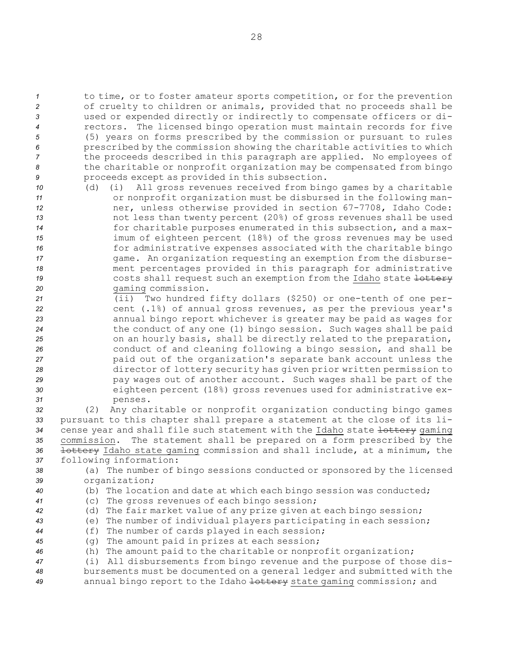to time, or to foster amateur sports competition, or for the prevention of cruelty to children or animals, provided that no proceeds shall be used or expended directly or indirectly to compensate officers or di- rectors. The licensed bingo operation must maintain records for five (5) years on forms prescribed by the commission or pursuant to rules prescribed by the commission showing the charitable activities to which the proceeds described in this paragraph are applied. No employees of the charitable or nonprofit organization may be compensated from bingo proceeds except as provided in this subsection.

- *<sup>10</sup>* (d) (i) All gross revenues received from bingo games by <sup>a</sup> charitable *<sup>11</sup>* or nonprofit organization must be disbursed in the following man-*<sup>12</sup>* ner, unless otherwise provided in section 67-7708, Idaho Code: *<sup>13</sup>* not less than twenty percent (20%) of gross revenues shall be used *<sup>14</sup>* for charitable purposes enumerated in this subsection, and <sup>a</sup> max-*<sup>15</sup>* imum of eighteen percent (18%) of the gross revenues may be used *<sup>16</sup>* for administrative expenses associated with the charitable bingo 17 **17** game. An organization requesting an exemption from the disburse-*<sup>18</sup>* ment percentages provided in this paragraph for administrative 19 **19** costs shall request such an exemption from the Idaho state lottery *<sup>20</sup>* gaming commission.
- *<sup>21</sup>* (ii) Two hundred fifty dollars (\$250) or one-tenth of one per-*<sup>22</sup>* cent (.1%) of annual gross revenues, as per the previous year's *<sup>23</sup>* annual bingo report whichever is greater may be paid as wages for *<sup>24</sup>* the conduct of any one (1) bingo session. Such wages shall be paid *<sup>25</sup>* on an hourly basis, shall be directly related to the preparation, *<sup>26</sup>* conduct of and cleaning following <sup>a</sup> bingo session, and shall be *<sup>27</sup>* paid out of the organization's separate bank account unless the *<sup>28</sup>* director of lottery security has given prior written permission to *<sup>29</sup>* pay wages out of another account. Such wages shall be part of the *<sup>30</sup>* eighteen percent (18%) gross revenues used for administrative ex-*31* penses.

 (2) Any charitable or nonprofit organization conducting bingo games pursuant to this chapter shall prepare <sup>a</sup> statement at the close of its li-34 cense year and shall file such statement with the Idaho state lottery gaming commission. The statement shall be prepared on <sup>a</sup> form prescribed by the lottery Idaho state gaming commission and shall include, at <sup>a</sup> minimum, the following information:

*<sup>38</sup>* (a) The number of bingo sessions conducted or sponsored by the licensed *<sup>39</sup>* organization;

- *<sup>40</sup>* (b) The location and date at which each bingo session was conducted;
- *<sup>41</sup>* (c) The gross revenues of each bingo session;
- *<sup>42</sup>* (d) The fair market value of any prize given at each bingo session;
- *<sup>43</sup>* (e) The number of individual players participating in each session;
- *<sup>44</sup>* (f) The number of cards played in each session;
- *<sup>45</sup>* (g) The amount paid in prizes at each session;
- *<sup>46</sup>* (h) The amount paid to the charitable or nonprofit organization;
- *<sup>47</sup>* (i) All disbursements from bingo revenue and the purpose of those dis-*<sup>48</sup>* bursements must be documented on <sup>a</sup> general ledger and submitted with the *<sup>49</sup>* annual bingo report to the Idaho lottery state gaming commission; and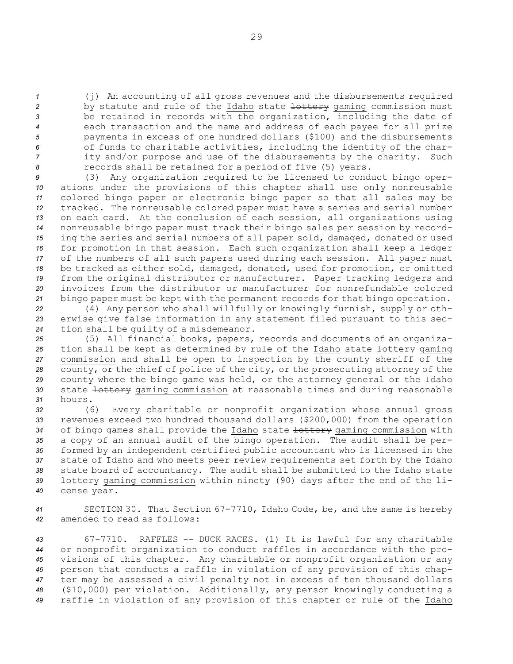(j) An accounting of all gross revenues and the disbursements required 2 by statute and rule of the Idaho state lottery gaming commission must be retained in records with the organization, including the date of each transaction and the name and address of each payee for all prize payments in excess of one hundred dollars (\$100) and the disbursements of funds to charitable activities, including the identity of the char- ity and/or purpose and use of the disbursements by the charity. Such records shall be retained for <sup>a</sup> period of five (5) years.

 (3) Any organization required to be licensed to conduct bingo oper- ations under the provisions of this chapter shall use only nonreusable colored bingo paper or electronic bingo paper so that all sales may be tracked. The nonreusable colored paper must have <sup>a</sup> series and serial number on each card. At the conclusion of each session, all organizations using nonreusable bingo paper must track their bingo sales per session by record- ing the series and serial numbers of all paper sold, damaged, donated or used for promotion in that session. Each such organization shall keep <sup>a</sup> ledger of the numbers of all such papers used during each session. All paper must be tracked as either sold, damaged, donated, used for promotion, or omitted from the original distributor or manufacturer. Paper tracking ledgers and invoices from the distributor or manufacturer for nonrefundable colored bingo paper must be kept with the permanent records for that bingo operation.

*<sup>22</sup>* (4) Any person who shall willfully or knowingly furnish, supply or oth-*<sup>23</sup>* erwise give false information in any statement filed pursuant to this sec-*<sup>24</sup>* tion shall be guilty of <sup>a</sup> misdemeanor.

*<sup>25</sup>* (5) All financial books, papers, records and documents of an organiza-26 tion shall be kept as determined by rule of the Idaho state lottery gaming *<sup>27</sup>* commission and shall be open to inspection by the county sheriff of the *<sup>28</sup>* county, or the chief of police of the city, or the prosecuting attorney of the *<sup>29</sup>* county where the bingo game was held, or the attorney general or the Idaho 30 state lottery gaming commission at reasonable times and during reasonable *31* hours.

 (6) Every charitable or nonprofit organization whose annual gross revenues exceed two hundred thousand dollars (\$200,000) from the operation of bingo games shall provide the Idaho state lottery gaming commission with <sup>a</sup> copy of an annual audit of the bingo operation. The audit shall be per- formed by an independent certified public accountant who is licensed in the state of Idaho and who meets peer review requirements set forth by the Idaho state board of accountancy. The audit shall be submitted to the Idaho state **lottery** gaming commission within ninety (90) days after the end of the li-cense year.

*<sup>41</sup>* SECTION 30. That Section 67-7710, Idaho Code, be, and the same is hereby *42* amended to read as follows:

 67-7710. RAFFLES -- DUCK RACES. (1) It is lawful for any charitable or nonprofit organization to conduct raffles in accordance with the pro- visions of this chapter. Any charitable or nonprofit organization or any person that conducts <sup>a</sup> raffle in violation of any provision of this chap- ter may be assessed <sup>a</sup> civil penalty not in excess of ten thousand dollars (\$10,000) per violation. Additionally, any person knowingly conducting <sup>a</sup> raffle in violation of any provision of this chapter or rule of the Idaho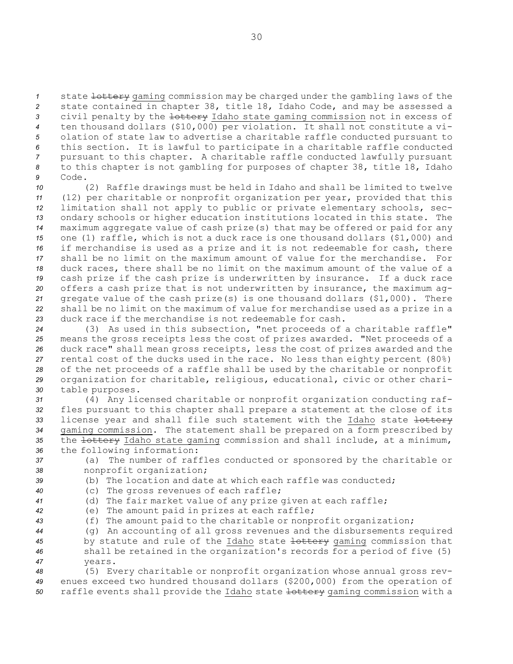state lottery gaming commission may be charged under the gambling laws of the state contained in chapter 38, title 18, Idaho Code, and may be assessed <sup>a</sup> civil penalty by the lottery Idaho state gaming commission not in excess of ten thousand dollars (\$10,000) per violation. It shall not constitute <sup>a</sup> vi- olation of state law to advertise <sup>a</sup> charitable raffle conducted pursuant to this section. It is lawful to participate in <sup>a</sup> charitable raffle conducted pursuant to this chapter. <sup>A</sup> charitable raffle conducted lawfully pursuant to this chapter is not gambling for purposes of chapter 38, title 18, Idaho *9* Code.

 (2) Raffle drawings must be held in Idaho and shall be limited to twelve (12) per charitable or nonprofit organization per year, provided that this limitation shall not apply to public or private elementary schools, sec- ondary schools or higher education institutions located in this state. The maximum aggregate value of cash prize(s) that may be offered or paid for any one (1) raffle, which is not <sup>a</sup> duck race is one thousand dollars (\$1,000) and if merchandise is used as <sup>a</sup> prize and it is not redeemable for cash, there shall be no limit on the maximum amount of value for the merchandise. For duck races, there shall be no limit on the maximum amount of the value of <sup>a</sup> cash prize if the cash prize is underwritten by insurance. If <sup>a</sup> duck race offers <sup>a</sup> cash prize that is not underwritten by insurance, the maximum ag- gregate value of the cash prize(s) is one thousand dollars (\$1,000). There shall be no limit on the maximum of value for merchandise used as <sup>a</sup> prize in <sup>a</sup> duck race if the merchandise is not redeemable for cash.

 (3) As used in this subsection, "net proceeds of <sup>a</sup> charitable raffle" means the gross receipts less the cost of prizes awarded. "Net proceeds of <sup>a</sup> duck race" shall mean gross receipts, less the cost of prizes awarded and the rental cost of the ducks used in the race. No less than eighty percent (80%) of the net proceeds of <sup>a</sup> raffle shall be used by the charitable or nonprofit organization for charitable, religious, educational, civic or other chari-table purposes.

 (4) Any licensed charitable or nonprofit organization conducting raf- fles pursuant to this chapter shall prepare <sup>a</sup> statement at the close of its 33 license year and shall file such statement with the Idaho state +ottery gaming commission. The statement shall be prepared on <sup>a</sup> form prescribed by 35 the <del>lottery</del> Idaho state gaming commission and shall include, at a minimum, the following information:

*<sup>37</sup>* (a) The number of raffles conducted or sponsored by the charitable or *<sup>38</sup>* nonprofit organization;

*39* (b) The location and date at which each raffle was conducted;

*<sup>40</sup>* (c) The gross revenues of each raffle;

*<sup>41</sup>* (d) The fair market value of any prize given at each raffle;

*<sup>42</sup>* (e) The amount paid in prizes at each raffle; *<sup>43</sup>* (f) The amount paid to the charitable or nonprofit organization;

 (g) An accounting of all gross revenues and the disbursements required by statute and rule of the Idaho state lottery gaming commission that shall be retained in the organization's records for <sup>a</sup> period of five (5) *47* years.

*<sup>48</sup>* (5) Every charitable or nonprofit organization whose annual gross rev-*<sup>49</sup>* enues exceed two hundred thousand dollars (\$200,000) from the operation of *<sup>50</sup>* raffle events shall provide the Idaho state lottery gaming commission with <sup>a</sup>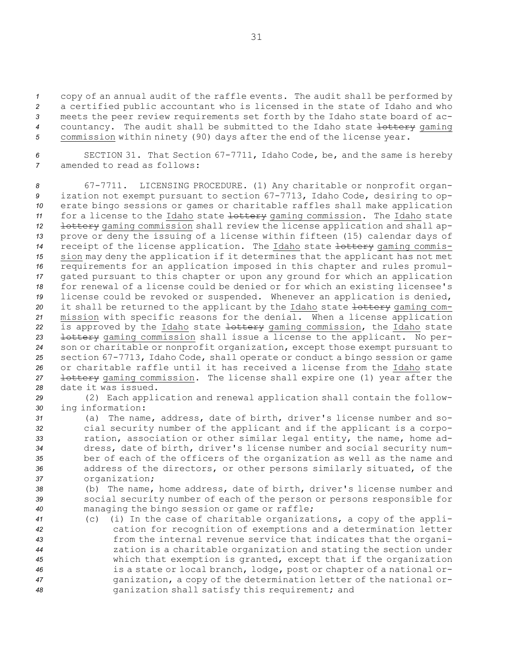copy of an annual audit of the raffle events. The audit shall be performed by <sup>a</sup> certified public accountant who is licensed in the state of Idaho and who meets the peer review requirements set forth by the Idaho state board of ac-4 countancy. The audit shall be submitted to the Idaho state lottery gaming commission within ninety (90) days after the end of the license year.

*<sup>6</sup>* SECTION 31. That Section 67-7711, Idaho Code, be, and the same is hereby *7* amended to read as follows:

 67-7711. LICENSING PROCEDURE. (1) Any charitable or nonprofit organ- ization not exempt pursuant to section 67-7713, Idaho Code, desiring to op- erate bingo sessions or games or charitable raffles shall make application 11 for a license to the Idaho state lottery gaming commission. The Idaho state lottery gaming commission shall review the license application and shall ap- prove or deny the issuing of <sup>a</sup> license within fifteen (15) calendar days of 14 receipt of the license application. The Idaho state lottery gaming commis- sion may deny the application if it determines that the applicant has not met requirements for an application imposed in this chapter and rules promul- gated pursuant to this chapter or upon any ground for which an application for renewal of <sup>a</sup> license could be denied or for which an existing licensee's license could be revoked or suspended. Whenever an application is denied, it shall be returned to the applicant by the Idaho state lottery gaming com- mission with specific reasons for the denial. When <sup>a</sup> license application 22 is approved by the Idaho state lottery gaming commission, the Idaho state lottery gaming commission shall issue <sup>a</sup> license to the applicant. No per- son or charitable or nonprofit organization, except those exempt pursuant to section 67-7713, Idaho Code, shall operate or conduct <sup>a</sup> bingo session or game or charitable raffle until it has received <sup>a</sup> license from the Idaho state lottery gaming commission. The license shall expire one (1) year after the date it was issued.

*<sup>29</sup>* (2) Each application and renewal application shall contain the follow-*<sup>30</sup>* ing information:

 (a) The name, address, date of birth, driver's license number and so- cial security number of the applicant and if the applicant is <sup>a</sup> corpo- ration, association or other similar legal entity, the name, home ad- dress, date of birth, driver's license number and social security num- ber of each of the officers of the organization as well as the name and address of the directors, or other persons similarly situated, of the organization;

*<sup>38</sup>* (b) The name, home address, date of birth, driver's license number and *<sup>39</sup>* social security number of each of the person or persons responsible for *<sup>40</sup>* managing the bingo session or game or raffle;

 (c) (i) In the case of charitable organizations, <sup>a</sup> copy of the appli- cation for recognition of exemptions and <sup>a</sup> determination letter from the internal revenue service that indicates that the organi- zation is <sup>a</sup> charitable organization and stating the section under which that exemption is granted, except that if the organization is <sup>a</sup> state or local branch, lodge, post or chapter of <sup>a</sup> national or- ganization, <sup>a</sup> copy of the determination letter of the national or-ganization shall satisfy this requirement; and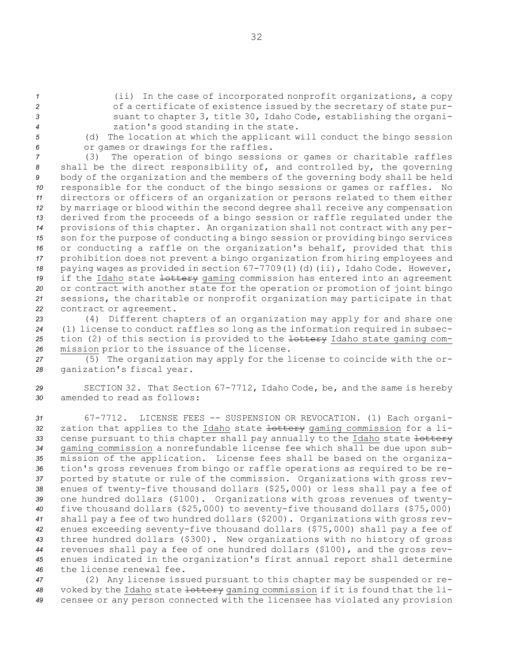(ii) In the case of incorporated nonprofit organizations, <sup>a</sup> copy of <sup>a</sup> certificate of existence issued by the secretary of state pur- suant to chapter 3, title 30, Idaho Code, establishing the organi-zation's good standing in the state.

*<sup>5</sup>* (d) The location at which the applicant will conduct the bingo session *<sup>6</sup>* or games or drawings for the raffles.

 (3) The operation of bingo sessions or games or charitable raffles shall be the direct responsibility of, and controlled by, the governing body of the organization and the members of the governing body shall be held responsible for the conduct of the bingo sessions or games or raffles. No directors or officers of an organization or persons related to them either by marriage or blood within the second degree shall receive any compensation derived from the proceeds of <sup>a</sup> bingo session or raffle regulated under the provisions of this chapter. An organization shall not contract with any per- son for the purpose of conducting <sup>a</sup> bingo session or providing bingo services or conducting <sup>a</sup> raffle on the organization's behalf, provided that this prohibition does not prevent <sup>a</sup> bingo organization from hiring employees and paying wages as provided in section 67-7709(1)(d)(ii), Idaho Code. However, 19 if the Idaho state <del>lottery</del> gaming commission has entered into an agreement or contract with another state for the operation or promotion of joint bingo sessions, the charitable or nonprofit organization may participate in that contract or agreement.

 (4) Different chapters of an organization may apply for and share one (1) license to conduct raffles so long as the information required in subsec- tion (2) of this section is provided to the lottery Idaho state gaming com-mission prior to the issuance of the license.

*<sup>27</sup>* (5) The organization may apply for the license to coincide with the or-*<sup>28</sup>* ganization's fiscal year.

*<sup>29</sup>* SECTION 32. That Section 67-7712, Idaho Code, be, and the same is hereby *30* amended to read as follows:

 67-7712. LICENSE FEES -- SUSPENSION OR REVOCATION. (1) Each organi-32 zation that applies to the Idaho state lottery gaming commission for a li-33 cense pursuant to this chapter shall pay annually to the Idaho state +ottery gaming commission <sup>a</sup> nonrefundable license fee which shall be due upon sub- mission of the application. License fees shall be based on the organiza- tion's gross revenues from bingo or raffle operations as required to be re- ported by statute or rule of the commission. Organizations with gross rev- enues of twenty-five thousand dollars (\$25,000) or less shall pay <sup>a</sup> fee of one hundred dollars (\$100). Organizations with gross revenues of twenty- five thousand dollars (\$25,000) to seventy-five thousand dollars (\$75,000) shall pay <sup>a</sup> fee of two hundred dollars (\$200). Organizations with gross rev- enues exceeding seventy-five thousand dollars (\$75,000) shall pay <sup>a</sup> fee of three hundred dollars (\$300). New organizations with no history of gross revenues shall pay <sup>a</sup> fee of one hundred dollars (\$100), and the gross rev- enues indicated in the organization's first annual report shall determine the license renewal fee.

*<sup>47</sup>* (2) Any license issued pursuant to this chapter may be suspended or re-*<sup>48</sup>* voked by the Idaho state lottery gaming commission if it is found that the li-*<sup>49</sup>* censee or any person connected with the licensee has violated any provision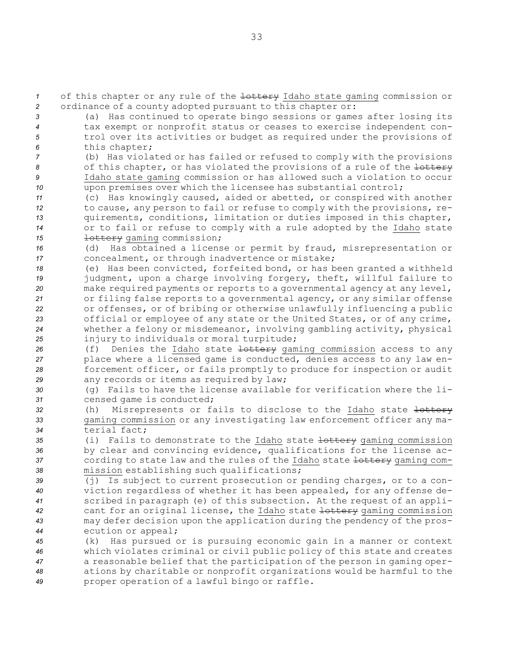*1* of this chapter or any rule of the lottery Idaho state gaming commission or *<sup>2</sup>* ordinance of <sup>a</sup> county adopted pursuant to this chapter or:

 (a) Has continued to operate bingo sessions or games after losing its tax exempt or nonprofit status or ceases to exercise independent con- trol over its activities or budget as required under the provisions of this chapter;

 (b) Has violated or has failed or refused to comply with the provisions of this chapter, or has violated the provisions of <sup>a</sup> rule of the lottery Idaho state gaming commission or has allowed such <sup>a</sup> violation to occur upon premises over which the licensee has substantial control;

 (c) Has knowingly caused, aided or abetted, or conspired with another to cause, any person to fail or refuse to comply with the provisions, re- quirements, conditions, limitation or duties imposed in this chapter, or to fail or refuse to comply with <sup>a</sup> rule adopted by the Idaho state **lottery** gaming commission;

*<sup>16</sup>* (d) Has obtained <sup>a</sup> license or permit by fraud, misrepresentation or *<sup>17</sup>* concealment, or through inadvertence or mistake;

 (e) Has been convicted, forfeited bond, or has been granted <sup>a</sup> withheld judgment, upon <sup>a</sup> charge involving forgery, theft, willful failure to make required payments or reports to <sup>a</sup> governmental agency at any level, or filing false reports to <sup>a</sup> governmental agency, or any similar offense or offenses, or of bribing or otherwise unlawfully influencing <sup>a</sup> public official or employee of any state or the United States, or of any crime, whether <sup>a</sup> felony or misdemeanor, involving gambling activity, physical injury to individuals or moral turpitude;

26 (f) Denies the Idaho state <del>lottery</del> gaming commission access to any place where <sup>a</sup> licensed game is conducted, denies access to any law en- forcement officer, or fails promptly to produce for inspection or audit any records or items as required by law;

*<sup>30</sup>* (g) Fails to have the license available for verification where the li-*<sup>31</sup>* censed game is conducted;

- *<sup>32</sup>* (h) Misrepresents or fails to disclose to the Idaho state lottery *<sup>33</sup>* gaming commission or any investigating law enforcement officer any ma-*34* terial fact;
- *<sup>35</sup>* (i) Fails to demonstrate to the Idaho state lottery gaming commission *<sup>36</sup>* by clear and convincing evidence, qualifications for the license ac-37 cording to state law and the rules of the Idaho state lottery gaming com-*<sup>38</sup>* mission establishing such qualifications;
- *<sup>39</sup>* (j) Is subject to current prosecution or pending charges, or to <sup>a</sup> con-*<sup>40</sup>* viction regardless of whether it has been appealed, for any offense de-*<sup>41</sup>* scribed in paragraph (e) of this subsection. At the request of an appli-*<sup>42</sup>* cant for an original license, the Idaho state lottery gaming commission *<sup>43</sup>* may defer decision upon the application during the pendency of the pros-*<sup>44</sup>* ecution or appeal;
- *<sup>45</sup>* (k) Has pursued or is pursuing economic gain in <sup>a</sup> manner or context *<sup>46</sup>* which violates criminal or civil public policy of this state and creates *<sup>47</sup>* <sup>a</sup> reasonable belief that the participation of the person in gaming oper-*<sup>48</sup>* ations by charitable or nonprofit organizations would be harmful to the *<sup>49</sup>* proper operation of <sup>a</sup> lawful bingo or raffle.